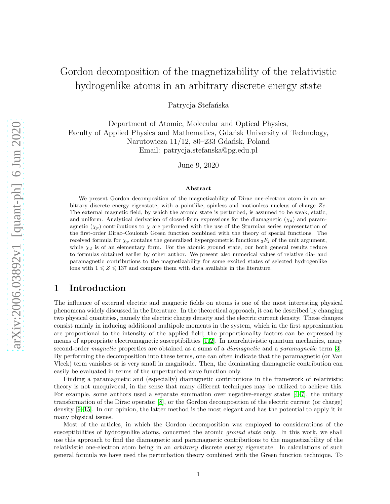# Gordon decomposition of the magnetizability of the relativistic hydrogenlike atoms in an arbitrary discrete energy state

Patrycja Stefańska

Department of Atomic, Molecular and Optical Physics, Faculty of Applied Physics and Mathematics, Gdańsk University of Technology, Narutowicza 11/12, 80–233 Gdańsk, Poland Email: patrycja.stefanska@pg.edu.pl

June 9, 2020

#### Abstract

We present Gordon decomposition of the magnetizability of Dirac one-electron atom in an arbitrary discrete energy eigenstate, with a pointlike, spinless and motionless nucleus of charge Ze. The external magnetic field, by which the atomic state is perturbed, is assumed to be weak, static, and uniform. Analytical derivation of closed-form expressions for the diamagnetic  $(\chi_d)$  and paramagnetic  $(\chi_p)$  contributions to  $\chi$  are performed with the use of the Sturmian series representation of the first-order Dirac–Coulomb Green function combined with the theory of special functions. The received formula for  $\chi_p$  contains the generalized hypergeometric functions  ${}_3F_2$  of the unit argument, while  $\chi_d$  is of an elementary form. For the atomic ground state, our both general results reduce to formulas obtained earlier by other author. We present also numerical values of relative dia- and paramagnetic contributions to the magnetizability for some excited states of selected hydrogenlike ions with  $1 \leqslant Z \leqslant 137$  and compare them with data available in the literature.

### 1 Introduction

The influence of external electric and magnetic fields on atoms is one of the most interesting physical phenomena widely discussed in the literature. In the theoretical approach, it can be described by changing two physical quantities, namely the electric charge density and the electric current density. These changes consist mainly in inducing additional multipole moments in the system, which in the first approximation are proportional to the intensity of the applied field; the proportionality factors can be expressed by means of appropriate electromagnetic susceptibilities [\[1,](#page-16-0) [2\]](#page-16-1). In nonrelativistic quantum mechanics, many second-order *magnetic* properties are obtained as a sums of a *diamagnetic* and a *paramagnetic* term [\[3\]](#page-16-2). By performing the decomposition into these terms, one can often indicate that the paramagnetic (or Van Vleck) term vanishes or is very small in magnitude. Then, the dominating diamagnetic contribution can easily be evaluated in terms of the unperturbed wave function only.

Finding a paramagnetic and (especially) diamagnetic contributions in the framework of relativistic theory is not unequivocal, in the sense that many different techniques may be utilized to achieve this. For example, some authors used a separate summation over negative-energy states [\[4–](#page-16-3)[7\]](#page-16-4), the unitary transformation of the Dirac operator [\[8\]](#page-16-5), or the Gordon decomposition of the electric current (or charge) density [\[9–](#page-16-6)[15\]](#page-17-0). In our opinion, the latter method is the most elegant and has the potential to apply it in many physical issues.

Most of the articles, in which the Gordon decomposition was employed to considerations of the susceptibilities of hydrogenlike atoms, concerned the atomic *ground state* only. In this work, we shall use this approach to find the diamagnetic and paramagnetic contributions to the magnetizability of the relativistic one-electron atom being in an *arbitrary* discrete energy eigenstate. In calculations of such general formula we have used the perturbation theory combined with the Green function technique. To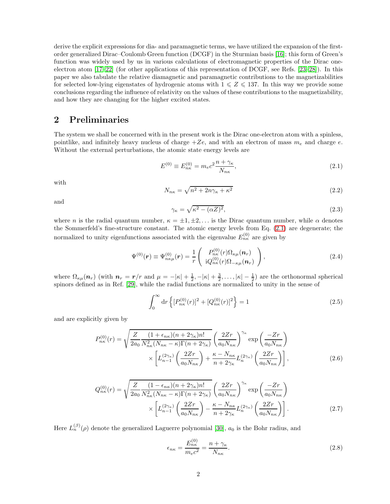derive the explicit expressions for dia- and paramagnetic terms, we have utilized the expansion of the firstorder generalized Dirac–Coulomb Green function (DCGF) in the Sturmian basis [\[16\]](#page-17-1); this form of Green's function was widely used by us in various calculations of electromagnetic properties of the Dirac oneelectron atom [\[17–](#page-17-2)[22\]](#page-17-3) (for other applications of this representation of DCGF, see Refs. [\[23](#page-17-4)[–28\]](#page-18-0)). In this paper we also tabulate the relative diamagnetic and paramagnetic contributions to the magnetizabilities for selected low-lying eigenstates of hydrogenic atoms with  $1 \leq Z \leq 137$ . In this way we provide some conclusions regarding the influence of relativity on the values of these contributions to the magnetizability, and how they are changing for the higher excited states.

#### 2 Preliminaries

The system we shall be concerned with in the present work is the Dirac one-electron atom with a spinless, pointlike, and infinitely heavy nucleus of charge  $+Ze$ , and with an electron of mass  $m_e$  and charge e. Without the external perturbations, the atomic state energy levels are

<span id="page-1-0"></span>
$$
E^{(0)} \equiv E_{n\kappa}^{(0)} = m_e c^2 \frac{n + \gamma_\kappa}{N_{n\kappa}},\tag{2.1}
$$

with

<span id="page-1-4"></span>
$$
N_{n\kappa} = \sqrt{n^2 + 2n\gamma_{\kappa} + \kappa^2} \tag{2.2}
$$

and

$$
\gamma_{\kappa} = \sqrt{\kappa^2 - (\alpha Z)^2},\tag{2.3}
$$

where n is the radial quantum number,  $\kappa = \pm 1, \pm 2, \ldots$  is the Dirac quantum number, while  $\alpha$  denotes the Sommerfeld's fine-structure constant. The atomic energy levels from Eq. [\(2.1\)](#page-1-0) are degenerate; the normalized to unity eigenfunctions associated with the eigenvalue  $E_{n\kappa}^{(0)}$  are given by

<span id="page-1-1"></span>
$$
\Psi^{(0)}(\mathbf{r}) \equiv \Psi_{n\kappa\mu}^{(0)}(\mathbf{r}) = \frac{1}{r} \begin{pmatrix} P_{n\kappa}^{(0)}(r) \Omega_{\kappa\mu}(\mathbf{n}_r) \\ i Q_{n\kappa}^{(0)}(r) \Omega_{-\kappa\mu}(\mathbf{n}_r) \end{pmatrix},
$$
\n(2.4)

where  $\Omega_{\kappa\mu}(\boldsymbol{n}_r)$  (with  $\boldsymbol{n}_r = \boldsymbol{r}/r$  and  $\mu = -|\kappa| + \frac{1}{2}, -|\kappa| + \frac{3}{2}, \ldots, |\kappa| - \frac{1}{2}$ ) are the orthonormal spherical spinors defined as in Ref. [\[29\]](#page-18-1), while the radial functions are normalized to unity in the sense of

$$
\int_0^\infty \mathrm{d}r \left\{ [P_{n\kappa}^{(0)}(r)]^2 + [Q_{n\kappa}^{(0)}(r)]^2 \right\} = 1 \tag{2.5}
$$

and are explicitly given by

<span id="page-1-2"></span>
$$
P_{n\kappa}^{(0)}(r) = \sqrt{\frac{Z}{2a_0} \frac{(1 + \epsilon_{n\kappa})(n + 2\gamma_{\kappa})n!}{N_{n\kappa}^2 (N_{n\kappa} - \kappa)\Gamma(n + 2\gamma_{\kappa})}} \left(\frac{2Zr}{a_0 N_{n\kappa}}\right)^{\gamma_{\kappa}} \exp\left(\frac{-Zr}{a_0 N_{n\kappa}}\right)
$$

$$
\times \left[L_{n-1}^{(2\gamma_{\kappa})}\left(\frac{2Zr}{a_0 N_{n\kappa}}\right) + \frac{\kappa - N_{n\kappa}}{n + 2\gamma_{\kappa}} L_n^{(2\gamma_{\kappa})}\left(\frac{2Zr}{a_0 N_{n\kappa}}\right)\right],
$$
(2.6)

<span id="page-1-3"></span>
$$
Q_{n\kappa}^{(0)}(r) = \sqrt{\frac{Z}{2a_0} \frac{(1 - \epsilon_{n\kappa})(n + 2\gamma_\kappa)n!}{N_{n\kappa}^2 (N_{n\kappa} - \kappa)\Gamma(n + 2\gamma_\kappa)} \left(\frac{2Zr}{a_0 N_{n\kappa}}\right)^{\gamma_\kappa} \exp\left(\frac{-Zr}{a_0 N_{n\kappa}}\right)}
$$

$$
\times \left[L_{n-1}^{(2\gamma_\kappa)}\left(\frac{2Zr}{a_0 N_{n\kappa}}\right) - \frac{\kappa - N_{n\kappa}}{n + 2\gamma_\kappa} L_n^{(2\gamma_\kappa)}\left(\frac{2Zr}{a_0 N_{n\kappa}}\right)\right].
$$
 (2.7)

Here  $L_n^{(\beta)}(\rho)$  denote the generalized Laguerre polynomial [\[30\]](#page-18-2),  $a_0$  is the Bohr radius, and

$$
\epsilon_{n\kappa} = \frac{E_{n\kappa}^{(0)}}{m_e c^2} = \frac{n + \gamma_{\kappa}}{N_{n\kappa}}.\tag{2.8}
$$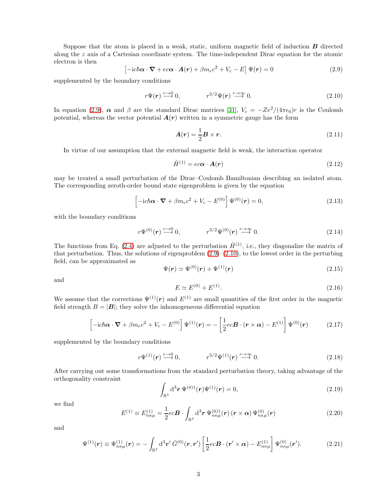Suppose that the atom is placed in a weak, static, uniform magnetic field of induction  $\bf{B}$  directed along the z axis of a Cartesian coordinate system. The time-independent Dirac equation for the atomic electron is then

<span id="page-2-0"></span>
$$
\left[-ic\hbar\boldsymbol{\alpha}\cdot\boldsymbol{\nabla}+ec\boldsymbol{\alpha}\cdot\boldsymbol{A}(\boldsymbol{r})+\beta m_{e}c^{2}+V_{c}-E\right]\Psi(\boldsymbol{r})=0
$$
\n(2.9)

supplemented by the boundary conditions

<span id="page-2-1"></span>
$$
r\Psi(\mathbf{r}) \stackrel{r \to 0}{\longrightarrow} 0, \qquad r^{3/2}\Psi(\mathbf{r}) \stackrel{r \to \infty}{\longrightarrow} 0. \tag{2.10}
$$

In equation [\(2.9\)](#page-2-0),  $\alpha$  and  $\beta$  are the standard Dirac matrices [\[31\]](#page-18-3),  $V_c = -Ze^2/(4\pi\epsilon_0)r$  is the Coulomb potential, whereas the vector potential  $A(r)$  written in a symmetric gauge has the form

<span id="page-2-6"></span>
$$
\mathbf{A}(\mathbf{r}) = \frac{1}{2}\mathbf{B} \times \mathbf{r}.\tag{2.11}
$$

In virtue of our assumption that the external magnetic field is weak, the interaction operator

$$
\hat{H}^{(1)} = ec\alpha \cdot A(r) \tag{2.12}
$$

may be treated a small perturbation of the Dirac–Coulomb Hamiltonian describing an isolated atom. The corresponding zeroth-order bound state eigenproblem is given by the equation

<span id="page-2-3"></span>
$$
\left[-ic\hbar\boldsymbol{\alpha}\cdot\boldsymbol{\nabla}+\beta m_ec^2+V_c-E^{(0)}\right]\Psi^{(0)}(\boldsymbol{r})=0,
$$
\n(2.13)

with the boundary conditions

$$
r\Psi^{(0)}(\mathbf{r}) \stackrel{r \to 0}{\longrightarrow} 0, \qquad r^{3/2} \Psi^{(0)}(\mathbf{r}) \stackrel{r \to \infty}{\longrightarrow} 0. \tag{2.14}
$$

The functions from Eq. [\(2.4\)](#page-1-1) are adjusted to the perturbation  $\hat{H}^{(1)}$ , i.e., they diagonalize the matrix of that perturbation. Thus, the solutions of eigenproblem  $(2.9)$ – $(2.10)$ , to the lowest order in the perturbing field, can be approximated as

<span id="page-2-4"></span>
$$
\Psi(r) \simeq \Psi^{(0)}(r) + \Psi^{(1)}(r) \tag{2.15}
$$

and

$$
E \simeq E^{(0)} + E^{(1)}.\tag{2.16}
$$

We assume that the corrections  $\Psi^{(1)}(r)$  and  $E^{(1)}$  are small quantities of the first order in the magnetic field strength  $B = |B|$ ; they solve the inhomogeneous differential equation

$$
\left[-ic\hbar\boldsymbol{\alpha}\cdot\boldsymbol{\nabla}+\beta m_ec^2+V_c-E^{(0)}\right]\Psi^{(1)}(\boldsymbol{r})=-\left[\frac{1}{2}ec\boldsymbol{B}\cdot(\boldsymbol{r}\times\boldsymbol{\alpha})-E^{(1)}\right]\Psi^{(0)}(\boldsymbol{r})\tag{2.17}
$$

supplemented by the boundary conditions

$$
r\Psi^{(1)}(\mathbf{r}) \stackrel{r \to 0}{\longrightarrow} 0, \qquad r^{3/2}\Psi^{(1)}(\mathbf{r}) \stackrel{r \to \infty}{\longrightarrow} 0. \tag{2.18}
$$

After carrying out some transformations from the standard perturbation theory, taking advantage of the orthogonality constraint

<span id="page-2-5"></span>
$$
\int_{\mathbb{R}^3} d^3 r \, \Psi^{(0)\dagger}(r) \Psi^{(1)}(r) = 0, \tag{2.19}
$$

we find

$$
E^{(1)} \equiv E^{(1)}_{n\kappa\mu} = \frac{1}{2}ec\boldsymbol{B} \cdot \int_{\mathbb{R}^3} d^3\boldsymbol{r} \, \Psi^{(0)\dagger}_{n\kappa\mu}(\boldsymbol{r}) \left(\boldsymbol{r} \times \boldsymbol{\alpha}\right) \Psi^{(0)}_{n\kappa\mu}(\boldsymbol{r}) \tag{2.20}
$$

and

<span id="page-2-2"></span>
$$
\Psi^{(1)}(\mathbf{r}) \equiv \Psi^{(1)}_{n\kappa\mu}(\mathbf{r}) = -\int_{\mathbb{R}^3} d^3 \mathbf{r}' \,\bar{G}^{(0)}(\mathbf{r}, \mathbf{r}') \left[ \frac{1}{2} e c \mathbf{B} \cdot (\mathbf{r}' \times \boldsymbol{\alpha}) - E^{(1)}_{n\kappa\mu} \right] \Psi^{(0)}_{n\kappa\mu}(\mathbf{r}'). \tag{2.21}
$$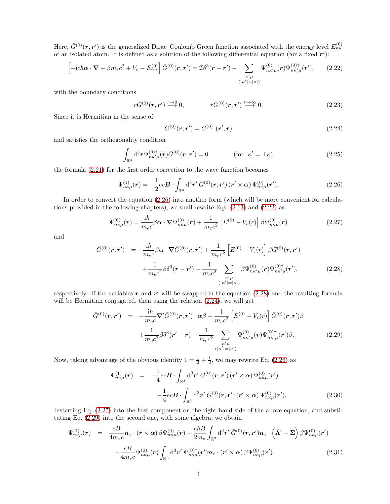Here,  $\bar{G}^{(0)}(\mathbf{r},\mathbf{r}')$  is the generalized Dirac–Coulomb Green function associated with the energy level  $E_{n\kappa}^{(0)}$ of an isolated atom. It is defined as a solution of the following differential equation (for a fixed  $r'$ ):

<span id="page-3-1"></span>
$$
\left[-ic\hbar\boldsymbol{\alpha}\cdot\boldsymbol{\nabla}+\beta m_ec^2+V_c-E_{n\kappa}^{(0)}\right]\bar{G}^{(0)}(\boldsymbol{r},\boldsymbol{r}')=\mathcal{I}\delta^3(\boldsymbol{r}-\boldsymbol{r}')-\sum_{\substack{\kappa'\mu\\(|\kappa'|=|\kappa|)}}\Psi_{n\kappa'\mu}^{(0)}(\boldsymbol{r})\Psi_{n\kappa'\mu}^{(0)\dagger}(\boldsymbol{r}'),\qquad(2.22)
$$

with the boundary conditions

$$
r\bar{G}^{(0)}(\mathbf{r},\mathbf{r}') \stackrel{r \to 0}{\longrightarrow} 0, \qquad r\bar{G}^{(0)}(\mathbf{r},\mathbf{r}') \stackrel{r \to \infty}{\longrightarrow} 0.
$$
 (2.23)

Since it is Hermitian in the sense of

<span id="page-3-3"></span>
$$
\bar{G}^{(0)}(\mathbf{r}, \mathbf{r}') = \bar{G}^{(0)\dagger}(\mathbf{r}', \mathbf{r})
$$
\n(2.24)

and satisfies the orthogonality condition

$$
\int_{\mathbb{R}^3} d^3 r \Psi_{n\kappa'\mu}^{(0)\dagger}(\boldsymbol{r}) \bar{G}^{(0)}(\boldsymbol{r},\boldsymbol{r}') = 0 \qquad (\text{for } \kappa' = \pm \kappa), \qquad (2.25)
$$

the formula [\(2.21\)](#page-2-2) for the first order correction to the wave function becomes

<span id="page-3-0"></span>
$$
\Psi_{n\kappa\mu}^{(1)}(\boldsymbol{r}) = -\frac{1}{2}ec\boldsymbol{B} \cdot \int_{\mathbb{R}^3} d^3\boldsymbol{r}' \,\bar{G}^{(0)}(\boldsymbol{r},\boldsymbol{r}') (\boldsymbol{r}' \times \boldsymbol{\alpha}) \,\Psi_{n\kappa\mu}^{(0)}(\boldsymbol{r}'). \tag{2.26}
$$

In order to convert the equation  $(2.26)$  into another form (which will be more convenient for calculations provided in the following chapters), we shall rewrite Eqs. [\(2.13\)](#page-2-3) and [\(2.22\)](#page-3-1) as

<span id="page-3-4"></span>
$$
\Psi_{n\kappa\mu}^{(0)}(\boldsymbol{r}) = \frac{i\hbar}{m_e c} \beta \boldsymbol{\alpha} \cdot \boldsymbol{\nabla} \Psi_{n\kappa\mu}^{(0)}(\boldsymbol{r}) + \frac{1}{m_e c^2} \left[ E^{(0)} - V_c(r) \right] \beta \Psi_{n\kappa\mu}^{(0)}(\boldsymbol{r}) \tag{2.27}
$$

and

<span id="page-3-2"></span>
$$
\bar{G}^{(0)}(\mathbf{r}, \mathbf{r}') = \frac{i\hbar}{m_e c} \beta \alpha \cdot \nabla \bar{G}^{(0)}(\mathbf{r}, \mathbf{r}') + \frac{1}{m_e c^2} \left[ E^{(0)} - V_c(r) \right] \beta \bar{G}^{(0)}(\mathbf{r}, \mathbf{r}') + \frac{1}{m_e c^2} \beta \delta^3(\mathbf{r} - \mathbf{r}') - \frac{1}{m_e c^2} \sum_{\substack{\kappa' \mu \\ (|\kappa'| = |\kappa|)}} \beta \Psi_{n\kappa'\mu}^{(0)}(\mathbf{r}) \Psi_{n\kappa'\mu}^{(0)\dagger}(\mathbf{r}'),
$$
(2.28)

respectively. If the variables  $r$  and  $r'$  will be swapped in the equation [\(2.28\)](#page-3-2) and the resulting formula will be Hermitian conjugated, then using the relation  $(2.24)$ , we will get

<span id="page-3-5"></span>
$$
\bar{G}^{(0)}(\mathbf{r}, \mathbf{r}') = -\frac{i\hbar}{m_e c} \nabla' \bar{G}^{(0)}(\mathbf{r}, \mathbf{r}') \cdot \alpha \beta + \frac{1}{m_e c^2} \left[ E^{(0)} - V_c(r) \right] \bar{G}^{(0)}(\mathbf{r}, \mathbf{r}') \beta + \frac{1}{m_e c^2} \beta \delta^3(\mathbf{r}' - \mathbf{r}) - \frac{1}{m_e c^2} \sum_{\kappa' \mu} \Psi_{n\kappa' \mu}^{(0)}(\mathbf{r}) \Psi_{n\kappa' \mu}^{(0)\dagger}(\mathbf{r}') \beta.
$$
(2.29)

Now, taking advantage of the obvious identity  $1 = \frac{1}{2} + \frac{1}{2}$ , we may rewrite Eq. [\(2.26\)](#page-3-0) as

$$
\Psi_{n\kappa\mu}^{(1)}(\mathbf{r}) = -\frac{1}{4}ec\mathbf{B} \cdot \int_{\mathbb{R}^3} d^3\mathbf{r}' \,\bar{G}^{(0)}(\mathbf{r}, \mathbf{r}') (\mathbf{r}' \times \boldsymbol{\alpha}) \Psi_{n\kappa\mu}^{(0)}(\mathbf{r}')
$$

$$
-\frac{1}{4}ec\mathbf{B} \cdot \int_{\mathbb{R}^3} d^3\mathbf{r}' \,\bar{G}^{(0)}(\mathbf{r}, \mathbf{r}') (\mathbf{r}' \times \boldsymbol{\alpha}) \Psi_{n\kappa\mu}^{(0)}(\mathbf{r}'). \tag{2.30}
$$

Insterting Eq. [\(2.27\)](#page-3-4) into the first component on the right-hand side of the above equation, and substituting Eq. [\(2.29\)](#page-3-5) into the second one, with some algebra, we obtain

<span id="page-3-6"></span>
$$
\Psi_{n\kappa\mu}^{(1)}(\mathbf{r}) = \frac{eB}{4m_ec} \mathbf{n}_z \cdot (\mathbf{r} \times \boldsymbol{\alpha}) \beta \Psi_{n\kappa\mu}^{(0)}(\mathbf{r}) - \frac{e\hbar B}{2m_e} \int_{\mathbb{R}^3} d^3 \mathbf{r}' \bar{G}^{(0)}(\mathbf{r}, \mathbf{r}') \mathbf{n}_z \cdot (\hat{\mathbf{\Lambda}}' + \boldsymbol{\Sigma}) \beta \Psi_{n\kappa\mu}^{(0)}(\mathbf{r}')
$$

$$
- \frac{eB}{4m_ec} \Psi_{n\kappa\mu}^{(0)}(\mathbf{r}) \int_{\mathbb{R}^3} d^3 \mathbf{r}' \Psi_{n\kappa\mu}^{(0)\dagger}(\mathbf{r}') \mathbf{n}_z \cdot (\mathbf{r}' \times \boldsymbol{\alpha}) \beta \Psi_{n\kappa\mu}^{(0)}(\mathbf{r}'). \tag{2.31}
$$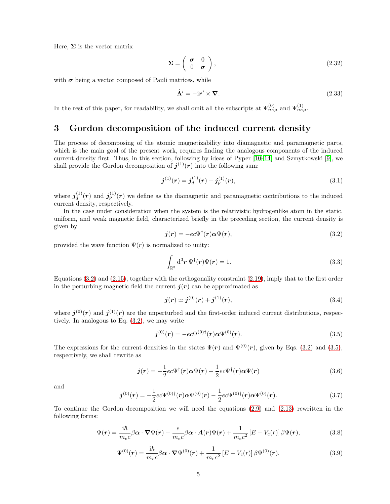Here,  $\Sigma$  is the vector matrix

$$
\Sigma = \left(\begin{array}{cc} \sigma & 0\\ 0 & \sigma \end{array}\right),\tag{2.32}
$$

with  $\sigma$  being a vector composed of Pauli matrices, while

$$
\hat{\Lambda}' = -i r' \times \nabla. \tag{2.33}
$$

In the rest of this paper, for readability, we shall omit all the subscripts at  $\Psi_{n\kappa\mu}^{(0)}$  and  $\Psi_{n\kappa\mu}^{(1)}$ .

## 3 Gordon decomposition of the induced current density

The process of decomposing of the atomic magnetizability into diamagnetic and paramagnetic parts, which is the main goal of the present work, requires finding the analogous components of the induced current density first. Thus, in this section, following by ideas of Pyper [\[10](#page-17-5)[–14\]](#page-17-6) and Szmytkowski [\[9\]](#page-16-6), we shall provide the Gordon decomposition of  $j^{(1)}(r)$  into the following sum:

<span id="page-4-6"></span>
$$
\boldsymbol{j}^{(1)}(\boldsymbol{r}) = \boldsymbol{j}_d^{(1)}(\boldsymbol{r}) + \boldsymbol{j}_p^{(1)}(\boldsymbol{r}),\tag{3.1}
$$

where  $\boldsymbol{j}_d^{(1)}$  $d_d^{(1)}(\mathbf{r})$  and  $\mathbf{j}_p^{(1)}(\mathbf{r})$  we define as the diamagnetic and paramagnetic contributions to the induced current density, respectively.

In the case under consideration when the system is the relativistic hydrogenlike atom in the static, uniform, and weak magnetic field, characterized briefly in the preceding section, the current density is given by

<span id="page-4-0"></span>
$$
\mathbf{j}(r) = -ec\Psi^{\dagger}(r)\alpha\Psi(r),\tag{3.2}
$$

provided the wave function  $\Psi(r)$  is normalized to unity:

$$
\int_{\mathbb{R}^3} d^3 r \, \Psi^{\dagger}(r) \Psi(r) = 1. \tag{3.3}
$$

Equations  $(3.2)$  and  $(2.15)$ , together with the orthogonality constraint  $(2.19)$ , imply that to the first order in the perturbing magnetic field the current  $j(r)$  can be approximated as

$$
j(r) \simeq j^{(0)}(r) + j^{(1)}(r), \tag{3.4}
$$

where  $j^{(0)}(r)$  and  $j^{(1)}(r)$  are the unperturbed and the first-order induced current distributions, respectively. In analogous to Eq. [\(3.2\)](#page-4-0), we may write

<span id="page-4-1"></span>
$$
\mathbf{j}^{(0)}(\mathbf{r}) = -ec\Psi^{(0)\dagger}(\mathbf{r})\alpha\Psi^{(0)}(\mathbf{r}).
$$
\n(3.5)

The expressions for the current densities in the states  $\Psi(\mathbf{r})$  and  $\Psi^{(0)}(\mathbf{r})$ , given by Eqs. [\(3.2\)](#page-4-0) and [\(3.5\)](#page-4-1), respectively, we shall rewrite as

<span id="page-4-2"></span>
$$
\mathbf{j}(\mathbf{r}) = -\frac{1}{2}ec\Psi^{\dagger}(\mathbf{r})\alpha\Psi(\mathbf{r}) - \frac{1}{2}ec\Psi^{\dagger}(\mathbf{r})\alpha\Psi(\mathbf{r})
$$
\n(3.6)

and

<span id="page-4-3"></span>
$$
\boldsymbol{j}^{(0)}(\boldsymbol{r}) = -\frac{1}{2}ec\Psi^{(0)\dagger}(\boldsymbol{r})\boldsymbol{\alpha}\Psi^{(0)}(\boldsymbol{r}) - \frac{1}{2}ec\Psi^{(0)\dagger}(\boldsymbol{r})\boldsymbol{\alpha}\Psi^{(0)}(\boldsymbol{r}). \tag{3.7}
$$

To continue the Gordon decomposition we will need the equations [\(2.9\)](#page-2-0) and [\(2.13\)](#page-2-3) rewritten in the following forms:

<span id="page-4-4"></span>
$$
\Psi(\mathbf{r}) = \frac{i\hbar}{m_e c} \beta \alpha \cdot \nabla \Psi(\mathbf{r}) - \frac{e}{m_e c} \beta \alpha \cdot \mathbf{A}(\mathbf{r}) \Psi(\mathbf{r}) + \frac{1}{m_e c^2} \left[ E - V_c(r) \right] \beta \Psi(\mathbf{r}), \tag{3.8}
$$

<span id="page-4-5"></span>
$$
\Psi^{(0)}(\boldsymbol{r}) = \frac{i\hbar}{m_e c} \beta \boldsymbol{\alpha} \cdot \boldsymbol{\nabla} \Psi^{(0)}(\boldsymbol{r}) + \frac{1}{m_e c^2} \left[ E - V_c(r) \right] \beta \Psi^{(0)}(\boldsymbol{r}). \tag{3.9}
$$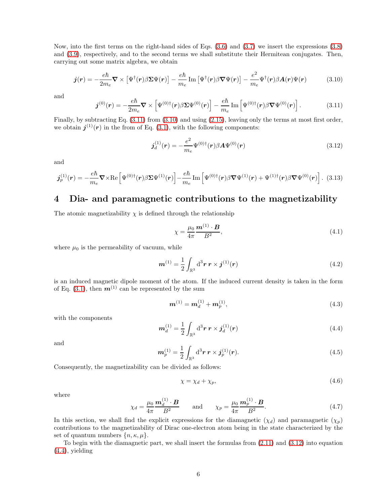Now, into the first terms on the right-hand sides of Eqs. [\(3.6\)](#page-4-2) and [\(3.7\)](#page-4-3) we insert the expressions [\(3.8\)](#page-4-4) and [\(3.9\)](#page-4-5), respectively, and to the second terms we shall substitute their Hermitean conjugates. Then, carrying out some matrix algebra, we obtain

<span id="page-5-1"></span>
$$
\boldsymbol{j}(\boldsymbol{r}) = -\frac{e\hbar}{2m_e} \boldsymbol{\nabla} \times \left[ \Psi^{\dagger}(\boldsymbol{r}) \beta \boldsymbol{\Sigma} \Psi(\boldsymbol{r}) \right] - \frac{e\hbar}{m_e} \operatorname{Im} \left[ \Psi^{\dagger}(\boldsymbol{r}) \beta \boldsymbol{\nabla} \Psi(\boldsymbol{r}) \right] - \frac{e^2}{m_e} \Psi^{\dagger}(\boldsymbol{r}) \beta \boldsymbol{A}(\boldsymbol{r}) \Psi(\boldsymbol{r}) \tag{3.10}
$$

and

<span id="page-5-0"></span>
$$
\boldsymbol{j}^{(0)}(\boldsymbol{r}) = -\frac{e\hbar}{2m_e} \boldsymbol{\nabla} \times \left[ \Psi^{(0)\dagger}(\boldsymbol{r}) \beta \boldsymbol{\Sigma} \Psi^{(0)}(\boldsymbol{r}) \right] - \frac{e\hbar}{m_e} \operatorname{Im} \left[ \Psi^{(0)\dagger}(\boldsymbol{r}) \beta \boldsymbol{\nabla} \Psi^{(0)}(\boldsymbol{r}) \right]. \tag{3.11}
$$

Finally, by subtracting Eq.  $(3.11)$  from  $(3.10)$  and using  $(2.15)$ , leaving only the terms at most first order, we obtain  $j^{(1)}(r)$  in the from of Eq. [\(3.1\)](#page-4-6), with the following components:

<span id="page-5-2"></span>
$$
\boldsymbol{j}_d^{(1)}(\boldsymbol{r}) = -\frac{e^2}{m_e} \Psi^{(0)\dagger}(\boldsymbol{r}) \beta \boldsymbol{A} \Psi^{(0)}(\boldsymbol{r}) \tag{3.12}
$$

and

<span id="page-5-5"></span>
$$
\boldsymbol{j}_{p}^{(1)}(\boldsymbol{r}) = -\frac{e\hbar}{m_{e}} \boldsymbol{\nabla} \times \text{Re}\left[\Psi^{(0)\dagger}(\boldsymbol{r})\beta \boldsymbol{\Sigma}\Psi^{(1)}(\boldsymbol{r})\right] - \frac{e\hbar}{m_{e}} \operatorname{Im}\left[\Psi^{(0)\dagger}(\boldsymbol{r})\beta \boldsymbol{\nabla}\Psi^{(1)}(\boldsymbol{r}) + \Psi^{(1)\dagger}(\boldsymbol{r})\beta \boldsymbol{\nabla}\Psi^{(0)}(\boldsymbol{r})\right].
$$
 (3.13)

# 4 Dia- and paramagnetic contributions to the magnetizability

The atomic magnetizability  $\chi$  is defined through the relationship

$$
\chi = \frac{\mu_0}{4\pi} \frac{\boldsymbol{m}^{(1)} \cdot \boldsymbol{B}}{B^2},\tag{4.1}
$$

where  $\mu_0$  is the permeability of vacuum, while

$$
\boldsymbol{m}^{(1)} = \frac{1}{2} \int_{\mathbb{R}^3} d^3 \boldsymbol{r} \, \boldsymbol{r} \times \boldsymbol{j}^{(1)}(\boldsymbol{r}) \tag{4.2}
$$

is an induced magnetic dipole moment of the atom. If the induced current density is taken in the form of Eq. [\(3.1\)](#page-4-6), then  $\mathbf{m}^{(1)}$  can be represented by the sum

$$
\mathbf{m}^{(1)} = \mathbf{m}_d^{(1)} + \mathbf{m}_p^{(1)},\tag{4.3}
$$

with the components

<span id="page-5-3"></span>
$$
\boldsymbol{m}_d^{(1)} = \frac{1}{2} \int_{\mathbb{R}^3} d^3 \boldsymbol{r} \, \boldsymbol{r} \times \boldsymbol{j}_d^{(1)}(\boldsymbol{r}) \tag{4.4}
$$

and

<span id="page-5-6"></span>
$$
\boldsymbol{m}_p^{(1)} = \frac{1}{2} \int_{\mathbb{R}^3} d^3 \boldsymbol{r} \, \boldsymbol{r} \times \boldsymbol{j}_p^{(1)}(\boldsymbol{r}). \tag{4.5}
$$

Consequently, the magnetizability can be divided as follows:

<span id="page-5-7"></span>
$$
\chi = \chi_d + \chi_p,\tag{4.6}
$$

where

<span id="page-5-4"></span>
$$
\chi_d = \frac{\mu_0}{4\pi} \frac{\mathbf{m}_d^{(1)} \cdot \mathbf{B}}{B^2} \quad \text{and} \quad \chi_p = \frac{\mu_0}{4\pi} \frac{\mathbf{m}_p^{(1)} \cdot \mathbf{B}}{B^2}.
$$
 (4.7)

In this section, we shall find the explicit expressions for the diamagnetic  $(\chi_d)$  and paramagnetic  $(\chi_p)$ contributions to the magnetizability of Dirac one-electron atom being in the state characterized by the set of quantum numbers  $\{n, \kappa, \mu\}.$ 

To begin with the diamagnetic part, we shall insert the formulas from [\(2.11\)](#page-2-6) and [\(3.12\)](#page-5-2) into equation  $(4.4)$ , yielding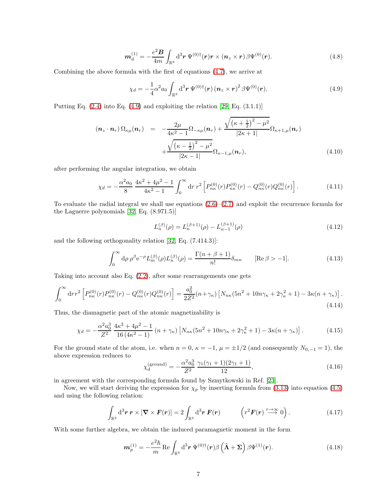$$
\boldsymbol{m}_d^{(1)} = -\frac{e^2 \boldsymbol{B}}{4m} \int_{\mathbb{R}^3} d^3 \boldsymbol{r} \, \Psi^{(0)\dagger}(\boldsymbol{r}) \boldsymbol{r} \times (\boldsymbol{n}_z \times \boldsymbol{r}) \, \beta \Psi^{(0)}(\boldsymbol{r}). \tag{4.8}
$$

Combining the above formula with the first of equations [\(4.7\)](#page-5-4), we arrive at

<span id="page-6-0"></span>
$$
\chi_d = -\frac{1}{4}\alpha^2 a_0 \int_{\mathbb{R}^3} d^3 \boldsymbol{r} \, \Psi^{(0)\dagger}(\boldsymbol{r}) \left(\boldsymbol{n}_z \times \boldsymbol{r}\right)^2 \beta \Psi^{(0)}(\boldsymbol{r}). \tag{4.9}
$$

Putting Eq.  $(2.4)$  into Eq.  $(4.9)$  and exploiting the relation  $[29, Eq. (3.1.1)]$ 

$$
(\boldsymbol{n}_{z} \cdot \boldsymbol{n}_{r}) \Omega_{\kappa\mu}(\boldsymbol{n}_{r}) = -\frac{2\mu}{4\kappa^{2}-1} \Omega_{-\kappa\mu}(\boldsymbol{n}_{r}) + \frac{\sqrt{(\kappa + \frac{1}{2})^{2} - \mu^{2}}}{|2\kappa + 1|} \Omega_{\kappa+1,\mu}(\boldsymbol{n}_{r}) + \frac{\sqrt{(\kappa - \frac{1}{2})^{2} - \mu^{2}}}{|2\kappa - 1|} \Omega_{\kappa-1,\mu}(\boldsymbol{n}_{r}), \tag{4.10}
$$

after performing the angular integration, we obtain

$$
\chi_d = -\frac{\alpha^2 a_0}{8} \frac{4\kappa^2 + 4\mu^2 - 1}{4\kappa^2 - 1} \int_0^\infty dr \, r^2 \left[ P_{n\kappa}^{(0)}(r) P_{n\kappa}^{(0)}(r) - Q_{n\kappa}^{(0)}(r) Q_{n\kappa}^{(0)}(r) \right]. \tag{4.11}
$$

To evaluate the radial integral we shall use equations  $(2.6)$ – $(2.7)$  and exploit the recurrence formula for the Laguerre polynomials [\[32,](#page-18-4) Eq. (8.971.5)]

<span id="page-6-1"></span>
$$
L_n^{(\beta)}(\rho) = L_n^{(\beta+1)}(\rho) - L_{n-1}^{(\beta+1)}(\rho)
$$
\n(4.12)

and the following orthogonality relation [\[32,](#page-18-4) Eq. (7.414.3)]:

<span id="page-6-2"></span>
$$
\int_0^\infty d\rho \,\rho^\beta e^{-\rho} L_m^{(\beta)}(\rho) L_n^{(\beta)}(\rho) = \frac{\Gamma(n+\beta+1)}{n!} \delta_{mn} \qquad [\text{Re}\,\beta > -1].\tag{4.13}
$$

Taking into account also Eq. [\(2.2\)](#page-1-4), after some rearrangements one gets

$$
\int_0^\infty \mathrm{d}r r^2 \left[ P_{n\kappa}^{(0)}(r) P_{n\kappa}^{(0)}(r) - Q_{n\kappa}^{(0)}(r) Q_{n\kappa}^{(0)}(r) \right] = \frac{a_0^2}{2Z^2} (n + \gamma_\kappa) \left[ N_{n\kappa} (5n^2 + 10n\gamma_\kappa + 2\gamma_\kappa^2 + 1) - 3\kappa (n + \gamma_\kappa) \right]. \tag{4.14}
$$

Thus, the diamagnetic part of the atomic magnetizability is

<span id="page-6-3"></span>
$$
\chi_d = -\frac{\alpha^2 a_0^3}{Z^2} \frac{4\kappa^2 + 4\mu^2 - 1}{16 \left(4\kappa^2 - 1\right)} \left(n + \gamma_\kappa\right) \left[N_{n\kappa} (5n^2 + 10n\gamma_\kappa + 2\gamma_\kappa^2 + 1) - 3\kappa (n + \gamma_\kappa)\right].\tag{4.15}
$$

For the ground state of the atom, i.e. when  $n = 0$ ,  $\kappa = -1$ ,  $\mu = \pm 1/2$  (and consequently  $N_{0,-1} = 1$ ), the above expression reduces to

$$
\chi_d^{\text{(ground)}} = -\frac{\alpha^2 a_0^3}{Z^2} \frac{\gamma_1(\gamma_1 + 1)(2\gamma_1 + 1)}{12},\tag{4.16}
$$

in agreement with the corresponding formula found by Szmytkowski in Ref. [\[23\]](#page-17-4).

Now, we will start deriving the expression for  $\chi_p$  by inserting formula from [\(3.13\)](#page-5-5) into equation [\(4.5\)](#page-5-6) and using the following relation:

$$
\int_{\mathbb{R}^3} d^3 \mathbf{r} \, \mathbf{r} \times [\nabla \times \mathbf{F}(\mathbf{r})] = 2 \int_{\mathbb{R}^3} d^3 \mathbf{r} \, \mathbf{F}(\mathbf{r}) \qquad \left( r^2 \mathbf{F}(\mathbf{r}) \stackrel{r \to \infty}{\longrightarrow} 0 \right). \tag{4.17}
$$

With some further algebra, we obtain the induced paramagnetic moment in the form

$$
\boldsymbol{m}_{p}^{(1)} = -\frac{e^{2}\hbar}{m} \operatorname{Re} \int_{\mathbb{R}^{3}} d^{3} \boldsymbol{r} \, \Psi^{(0)\dagger}(\boldsymbol{r}) \beta \left(\hat{\boldsymbol{\Lambda}} + \boldsymbol{\Sigma}\right) \beta \Psi^{(1)}(\boldsymbol{r}). \tag{4.18}
$$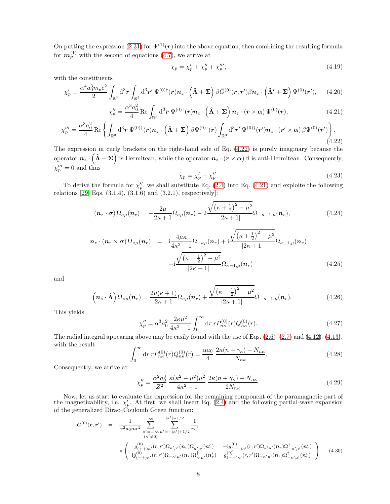On putting the expression [\(2.31\)](#page-3-6) for  $\Psi^{(1)}(r)$  into the above equation, then combining the resulting formula for  $m_p^{(1)}$  with the second of equations [\(4.7\)](#page-5-4), we arrive at

$$
\chi_p = \chi'_p + \chi''_p + \chi'''_p,\tag{4.19}
$$

with the constituents

<span id="page-7-2"></span>
$$
\chi_p' = \frac{\alpha^4 a_0^3 m_e c^2}{2} \int_{\mathbb{R}^3} d^3 \boldsymbol{r} \int_{\mathbb{R}^3} d^3 \boldsymbol{r}' \, \Psi^{(0)\dagger}(\boldsymbol{r}) \boldsymbol{n}_z \cdot (\hat{\boldsymbol{\Lambda}} + \boldsymbol{\Sigma}) \, \beta \bar{G}^{(0)}(\boldsymbol{r}, \boldsymbol{r}') \beta \boldsymbol{n}_z \cdot (\hat{\boldsymbol{\Lambda}}' + \boldsymbol{\Sigma}) \, \Psi^{(0)}(\boldsymbol{r}'), \qquad (4.20)
$$

<span id="page-7-1"></span>
$$
\chi_p'' = \frac{\alpha^3 a_0^2}{4} \operatorname{Re} \int_{\mathbb{R}^3} d^3 r \, \Psi^{(0)\dagger}(r) n_z \cdot (\hat{\mathbf{\Lambda}} + \Sigma) \, n_z \cdot (r \times \alpha) \, \Psi^{(0)}(r), \tag{4.21}
$$

<span id="page-7-0"></span>
$$
\chi_{p}''' = \frac{\alpha^{3} a_{0}^{2}}{4} \operatorname{Re} \left\{ \int_{\mathbb{R}^{3}} d^{3} \boldsymbol{r} \, \Psi^{(0)\dagger}(\boldsymbol{r}) \boldsymbol{n}_{z} \cdot \left( \boldsymbol{\hat{\Lambda}} + \boldsymbol{\Sigma} \right) \beta \Psi^{(0)\dagger}(\boldsymbol{r}) \int_{\mathbb{R}^{3}} d^{3} \boldsymbol{r}' \, \Psi^{(0)\dagger}(\boldsymbol{r}') \boldsymbol{n}_{z} \cdot (\boldsymbol{r}' \times \boldsymbol{\alpha}) \beta \Psi^{(0)}(\boldsymbol{r}') \right\}.
$$
\n(4.22)

The expression in curly brackets on the right-hand side of Eq. [\(4.22\)](#page-7-0) is purely imaginary because the operator  $n_z \cdot (\hat{\Lambda} + \Sigma)$  is Hermitean, while the operator  $n_z \cdot (r \times \alpha)$   $\beta$  is anti-Hermitean. Consequently,  $\chi_p^{\prime\prime\prime}=0$  and thus

<span id="page-7-5"></span>
$$
\chi_p = \chi'_p + \chi''_p. \tag{4.23}
$$

To derive the formula for  $\chi_p''$ , we shall substitute Eq. [\(2.4\)](#page-1-1) into Eq. [\(4.21\)](#page-7-1) and exploite the following relations [\[29,](#page-18-1) Eqs. (3.1.4), (3.1.6) and (3.2.1), respectively]:

<span id="page-7-3"></span>
$$
\left(\boldsymbol{n}_{z}\cdot\boldsymbol{\sigma}\right)\Omega_{\kappa\mu}(\boldsymbol{n}_{r})=-\frac{2\mu}{2\kappa+1}\Omega_{\kappa\mu}(\boldsymbol{n}_{r})-2\frac{\sqrt{\left(\kappa+\frac{1}{2}\right)^{2}-\mu^{2}}}{|2\kappa+1|}\Omega_{-\kappa-1,\mu}(\boldsymbol{n}_{r}),\tag{4.24}
$$

$$
\mathbf{n}_{z} \cdot (\mathbf{n}_{r} \times \boldsymbol{\sigma}) \, \Omega_{\kappa\mu}(\mathbf{n}_{r}) = \mathbf{i} \frac{4\mu\kappa}{4\kappa^{2} - 1} \Omega_{-\kappa\mu}(\mathbf{n}_{r}) + \mathbf{i} \frac{\sqrt{(\kappa + \frac{1}{2})^{2} - \mu^{2}}}{|2\kappa + 1|} \Omega_{\kappa + 1, \mu}(\mathbf{n}_{r}) - \mathbf{i} \frac{\sqrt{(\kappa - \frac{1}{2})^{2} - \mu^{2}}}{|2\kappa - 1|} \Omega_{\kappa - 1, \mu}(\mathbf{n}_{r}) \tag{4.25}
$$

and

<span id="page-7-4"></span>
$$
\left(\boldsymbol{n}_{z}\cdot\hat{\boldsymbol{\Lambda}}\right)\Omega_{\kappa\mu}(\boldsymbol{n}_{r})=\frac{2\mu(\kappa+1)}{2\kappa+1}\Omega_{\kappa\mu}(\boldsymbol{n}_{r})+\frac{\sqrt{\left(\kappa+\frac{1}{2}\right)^{2}-\mu^{2}}}{|2\kappa+1|}\Omega_{-\kappa-1,\mu}(\boldsymbol{n}_{r}).
$$
\n(4.26)

This yields

$$
\chi_p'' = \alpha^3 a_0^2 \frac{2\kappa \mu^2}{4\kappa^2 - 1} \int_0^\infty dr \, r P_{n\kappa}^{(0)}(r) Q_{n\kappa}^{(0)}(r). \tag{4.27}
$$

The radial integral appearing above may be easily found with the use of Eqs.  $(2.6)-(2.7)$  $(2.6)-(2.7)$  and  $(4.12)-(4.13)$  $(4.12)-(4.13)$ , with the result

$$
\int_0^\infty dr \, r P_{n\kappa}^{(0)}(r) Q_{n\kappa}^{(0)}(r) = \frac{\alpha a_0}{4} \, \frac{2\kappa (n + \gamma_\kappa) - N_{n\kappa}}{N_{n\kappa}}.\tag{4.28}
$$

Consequently, we arrive at

<span id="page-7-6"></span>
$$
\chi_p'' = \frac{\alpha^2 a_0^3}{Z^2} \frac{\kappa(\kappa^2 - \mu^2)\mu^2}{4\kappa^2 - 1} \frac{2\kappa(n + \gamma_\kappa) - N_{n\kappa}}{2N_{n\kappa}}.\tag{4.29}
$$

Now, let us start to evaluate the expression for the remaining component of the paramagnetic part of the magnetizability, i.e.  $\chi'_p$ . At first, we shall insert Eq. [\(2.4\)](#page-1-1) and the following partial-wave expansion of the generalized Dirac–Coulomb Green function:

$$
\bar{G}^{(0)}(r,r') = \frac{1}{\alpha^2 a_0 m c^2} \sum_{\substack{\kappa' = -\infty \\ (\kappa' \neq 0)}}^{\infty} \sum_{\substack{\kappa' = -\infty \\ (\kappa' \neq 0)}}^{\lvert \kappa' \rvert - 1/2} \frac{1}{rr'} \times \left( \begin{array}{cc} \bar{g}_{(+) \kappa'}^{(0)}(r,r') \Omega_{\kappa' \mu'}(n_r) \Omega_{\kappa' \mu'}^{\dagger}(n_r') & -i \bar{g}_{(+) \kappa'}^{(0)}(r,r') \Omega_{\kappa' \mu'}(n_r) \Omega_{\kappa' \mu'}^{\dagger}(n_r') \\ i \bar{g}_{(+) \kappa'}^{(0)}(r,r') \Omega_{-\kappa' \mu'}(n_r) \Omega_{\kappa' \mu'}^{\dagger}(n_r') & \bar{g}_{(+) \kappa'}^{(0)}(r,r') \Omega_{-\kappa' \mu'}(n_r) \Omega_{-\kappa' \mu'}^{\dagger}(n_r') \end{array} \right) \tag{4.30}
$$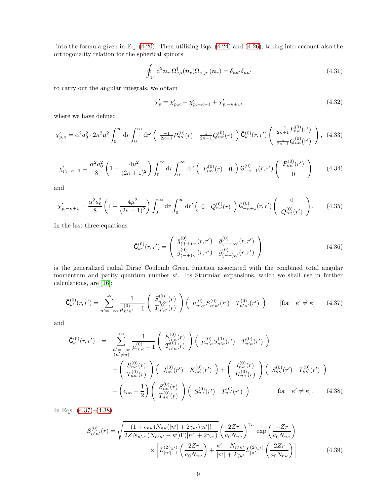into the formula given in Eq. [\(4.20\)](#page-7-2). Then utilizing Eqs. [\(4.24\)](#page-7-3) and [\(4.26\)](#page-7-4), taking into account also the orthogonality relation for the spherical spinors

$$
\oint_{4\pi} d^2 \mathbf{n}_r \, \Omega_{\kappa\mu}^\dagger(\mathbf{n}_r) \Omega_{\kappa'\mu'}(\mathbf{n}_r) = \delta_{\kappa\kappa'} \delta_{\mu\mu'} \tag{4.31}
$$

to carry out the angular integrals, we obtain

<span id="page-8-6"></span>
$$
\chi_p' = \chi_{p,\kappa}' + \chi_{p,-\kappa-1}' + \chi_{p,-\kappa+1}',\tag{4.32}
$$

where we have defined

<span id="page-8-2"></span>
$$
\chi_{p,\kappa}' = \alpha^2 a_0^2 \cdot 2\kappa^2 \mu^2 \int_0^\infty dr \int_0^\infty dr' \left( \frac{-1}{2\kappa + 1} P_{n\kappa}^{(0)}(r) - \frac{1}{2\kappa - 1} Q_{n\kappa}^{(0)}(r) \right) \bar{\mathsf{G}}_{\kappa}^{(0)}(r, r') \left( \frac{-1}{2\kappa + 1} P_{n\kappa}^{(0)}(r') \right), \tag{4.33}
$$

<span id="page-8-3"></span>
$$
\chi'_{p,-\kappa-1} = \frac{\alpha^2 a_0^2}{8} \left( 1 - \frac{4\mu^2}{(2\kappa + 1)^2} \right) \int_0^\infty dr \int_0^\infty dr' \left( P_{n\kappa}^{(0)}(r) - 0 \right) \bar{\mathsf{G}}_{-\kappa-1}^{(0)}(r, r') \left( P_{n\kappa}^{(0)}(r') - 0 \right) \tag{4.34}
$$

and

<span id="page-8-4"></span>
$$
\chi_{p,-\kappa+1}' = \frac{\alpha^2 a_0^2}{8} \left( 1 - \frac{4\mu^2}{(2\kappa - 1)^2} \right) \int_0^\infty dr \int_0^\infty dr' \left( 0 \ Q_{n\kappa}^{(0)}(r) \right) \bar{\mathsf{G}}_{-\kappa+1}^{(0)}(r, r') \left( \begin{array}{c} 0 \\ Q_{n\kappa}^{(0)}(r') \end{array} \right). \tag{4.35}
$$

In the last three equations

$$
\bar{\mathsf{G}}_{\kappa'}^{(0)}(r,r') = \begin{pmatrix} \bar{g}_{(+) \kappa'}^{(0)}(r,r') & \bar{g}_{(+) \kappa'}^{(0)}(r,r')\\ \bar{g}_{(+) \kappa'}^{(0)}(r,r') & \bar{g}_{(+) \kappa'}^{(0)}(r,r') \end{pmatrix}
$$
(4.36)

is the generalized radial Dirac–Coulomb Green function associated with the combined total angular momentum and parity quantum number  $\kappa'$ . Its Sturmian expansions, which we shall use in further calculations, are [\[16\]](#page-17-1):

<span id="page-8-0"></span>
$$
\bar{\mathsf{G}}_{\kappa'}^{(0)}(r,r') = \sum_{n'=-\infty}^{\infty} \frac{1}{\mu_{n'\kappa'}^{(0)} - 1} \left( \begin{array}{c} S_{n'\kappa'}^{(0)}(r) \\ T_{n'\kappa'}^{(0)}(r) \end{array} \right) \left( \begin{array}{cc} \mu_{n'\kappa'}^{(0)} S_{n'\kappa'}^{(0)}(r') & T_{n'\kappa'}^{(0)}(r') \end{array} \right) \qquad \text{[for} \quad \kappa' \neq \kappa \text{]} \tag{4.37}
$$

and

<span id="page-8-1"></span>
$$
\bar{G}_{\kappa}^{(0)}(r,r') = \sum_{\substack{n'=-\infty \\ (n'\neq n)}}^{\infty} \frac{1}{\mu_{n'\kappa}^{(0)} - 1} \begin{pmatrix} S_{n'\kappa}^{(0)}(r) \\ T_{n'\kappa}^{(0)}(r) \end{pmatrix} \begin{pmatrix} \mu_{n'\kappa}^{(0)} S_{n'\kappa}^{(0)}(r') & T_{n'\kappa}^{(0)}(r') \end{pmatrix} \newline + \begin{pmatrix} S_{n\kappa}^{(0)}(r) \\ T_{n\kappa}^{(0)}(r) \end{pmatrix} \begin{pmatrix} J_{n\kappa}^{(0)}(r') & K_{n\kappa}^{(0)}(r') \end{pmatrix} + \begin{pmatrix} I_{n\kappa}^{(0)}(r) \\ K_{n\kappa}^{(0)}(r) \end{pmatrix} \begin{pmatrix} S_{n\kappa}^{(0)}(r) \\ K_{n\kappa}^{(0)}(r) \end{pmatrix} \newline + \begin{pmatrix} \epsilon_{n\kappa} - \frac{1}{2} \end{pmatrix} \begin{pmatrix} S_{n\kappa}^{(0)}(r) \\ T_{n\kappa}^{(0)}(r) \end{pmatrix} \begin{pmatrix} S_{n\kappa}^{(0)}(r') & T_{n\kappa}^{(0)}(r') \end{pmatrix} \quad [\text{for } \kappa' \neq \kappa]. \tag{4.38}
$$

In Eqs. [\(4.37\)](#page-8-0)–[\(4.38\)](#page-8-1)

<span id="page-8-5"></span>
$$
S_{n'\kappa'}^{(0)}(r) = \sqrt{\frac{(1+\epsilon_{n\kappa})N_{n\kappa}(|n'| + 2\gamma_{\kappa'})|n'|!}{2ZN_{n'\kappa'}(N_{n'\kappa'} - \kappa')\Gamma(|n'| + 2\gamma_{\kappa'})} \left(\frac{2Zr}{a_0N_{n\kappa}}\right)^{\gamma_{\kappa'}} \exp\left(\frac{-Zr}{a_0N_{n\kappa}}\right) \times \left[L_{|n'|-1}^{(2\gamma_{\kappa'})}\left(\frac{2Zr}{a_0N_{n\kappa}}\right) + \frac{\kappa'-N_{n'\kappa'}}{|n'| + 2\gamma_{\kappa'}}L_{|n'|}^{(2\gamma_{\kappa'})}\left(\frac{2Zr}{a_0N_{n\kappa}}\right)\right]
$$
(4.39)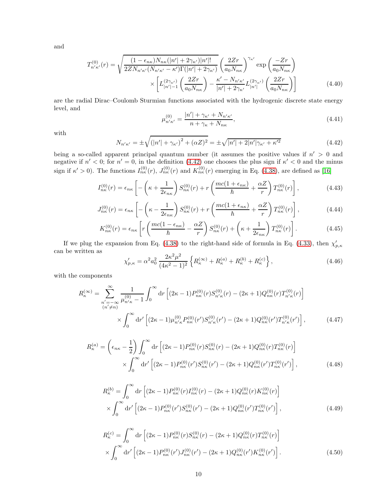and

<span id="page-9-5"></span>
$$
T_{n'\kappa'}^{(0)}(r) = \sqrt{\frac{(1 - \epsilon_{n\kappa})N_{n\kappa}(|n'| + 2\gamma_{\kappa'})|n'|!}{2ZN_{n'\kappa'}(N_{n'\kappa'} - \kappa')\Gamma(|n'| + 2\gamma_{\kappa'})} \left(\frac{2Zr}{a_0N_{n\kappa}}\right)^{\gamma_{\kappa'}} \exp\left(\frac{-Zr}{a_0N_{n\kappa}}\right)}
$$

$$
\times \left[L_{|n'|-1}^{(2\gamma_{\kappa'})}\left(\frac{2Zr}{a_0N_{n\kappa}}\right) - \frac{\kappa' - N_{n'\kappa'}}{|n'| + 2\gamma_{\kappa'}}L_{|n'|}^{(2\gamma_{\kappa'})}\left(\frac{2Zr}{a_0N_{n\kappa}}\right)\right]
$$
(4.40)

are the radial Dirac–Coulomb Sturmian functions associated with the hydrogenic discrete state energy level, and

<span id="page-9-1"></span>
$$
\mu_{n'\kappa'}^{(0)} = \frac{|n'| + \gamma_{\kappa'} + N_{n'\kappa'}}{n + \gamma_{\kappa} + N_{n\kappa}},\tag{4.41}
$$

with

<span id="page-9-0"></span>
$$
N_{n'\kappa'} = \pm \sqrt{(|n'| + \gamma_{\kappa'})^2 + (\alpha Z)^2} = \pm \sqrt{|n'| + 2|n'| \gamma_{\kappa'} + \kappa'^2}
$$
(4.42)

being a so-called apparent principal quantum number (it assumes the positive values if  $n' > 0$  and negative if  $n' < 0$ ; for  $n' = 0$ , in the definition [\(4.42\)](#page-9-0) one chooses the plus sign if  $\kappa' < 0$  and the minus sign if  $\kappa' > 0$ ). The functions  $I_{n\kappa}^{(0)}(r)$ ,  $J_{n\kappa}^{(0)}(r)$  and  $K_{n\kappa}^{(0)}(r)$  emerging in Eq. [\(4.38\)](#page-8-1), are defined as [\[16\]](#page-17-1)

<span id="page-9-2"></span>
$$
I_{n\kappa}^{(0)}(r) = \epsilon_{n\kappa} \left[ -\left(\kappa + \frac{1}{2\epsilon_{n\kappa}}\right) S_{n\kappa}^{(0)}(r) + r \left(\frac{mc(1+\epsilon_{n\kappa})}{\hbar} + \frac{\alpha Z}{r}\right) T_{n\kappa}^{(0)}(r) \right],
$$
(4.43)

$$
J_{n\kappa}^{(0)}(r) = \epsilon_{n\kappa} \left[ -\left(\kappa - \frac{1}{2\epsilon_{n\kappa}}\right) S_{n\kappa}^{(0)}(r) + r \left(\frac{mc(1+\epsilon_{n\kappa})}{\hbar} + \frac{\alpha Z}{r}\right) T_{n\kappa}^{(0)}(r) \right],
$$
(4.44)

<span id="page-9-3"></span>
$$
K_{n\kappa}^{(0)}(r) = \epsilon_{n\kappa} \left[ r \left( \frac{mc(1 - \epsilon_{n\kappa})}{\hbar} - \frac{\alpha Z}{r} \right) S_{n\kappa}^{(0)}(r) + \left( \kappa + \frac{1}{2\epsilon_{n\kappa}} \right) T_{n\kappa}^{(0)}(r) \right].
$$
 (4.45)

If we plug the expansion from Eq. [\(4.38\)](#page-8-1) to the right-hand side of formula in Eq. [\(4.33\)](#page-8-2), then  $\chi'_{p,\kappa}$ can be written as

<span id="page-9-4"></span>
$$
\chi'_{p,\kappa} = \alpha^2 a_0^2 \frac{2\kappa^2 \mu^2}{(4\kappa^2 - 1)^2} \left\{ R_{\kappa}^{(\infty)} + R_{\kappa}^{(a)} + R_{\kappa}^{(b)} + R_{\kappa}^{(c)} \right\},\tag{4.46}
$$

with the components

$$
R_{\kappa}^{(\infty)} = \sum_{\substack{n' = -\infty \\ (n' \neq n)}}^{\infty} \frac{1}{\mu_{n'\kappa}^{(0)} - 1} \int_{0}^{\infty} dr \left[ (2\kappa - 1) P_{n\kappa}^{(0)}(r) S_{n'\kappa}^{(0)}(r) - (2\kappa + 1) Q_{n\kappa}^{(0)}(r) T_{n'\kappa}^{(0)}(r) \right] \times \int_{0}^{\infty} dr' \left[ (2\kappa - 1) \mu_{n'\kappa}^{(0)} P_{n\kappa}^{(0)}(r') S_{n'\kappa}^{(0)}(r') - (2\kappa + 1) Q_{n\kappa}^{(0)}(r') T_{n'\kappa}^{(0)}(r') \right],
$$
(4.47)

$$
R_{\kappa}^{(a)} = \left(\epsilon_{n\kappa} - \frac{1}{2}\right) \int_0^{\infty} dr \left[ (2\kappa - 1) P_{n\kappa}^{(0)}(r) S_{n\kappa}^{(0)}(r) - (2\kappa + 1) Q_{n\kappa}^{(0)}(r) T_{n\kappa}^{(0)}(r) \right] \times \int_0^{\infty} dr' \left[ (2\kappa - 1) P_{n\kappa}^{(0)}(r') S_{n\kappa}^{(0)}(r') - (2\kappa + 1) Q_{n\kappa}^{(0)}(r') T_{n\kappa}^{(0)}(r') \right],
$$
(4.48)

$$
R_{\kappa}^{(b)} = \int_{0}^{\infty} dr \left[ (2\kappa - 1) P_{n\kappa}^{(0)}(r) I_{n\kappa}^{(0)}(r) - (2\kappa + 1) Q_{n\kappa}^{(0)}(r) K_{n\kappa}^{(0)}(r) \right] \times \int_{0}^{\infty} dr' \left[ (2\kappa - 1) P_{n\kappa}^{(0)}(r') S_{n\kappa}^{(0)}(r') - (2\kappa + 1) Q_{n\kappa}^{(0)}(r') T_{n\kappa}^{(0)}(r') \right],
$$
\n(4.49)

$$
R_{\kappa}^{(c)} = \int_0^{\infty} dr \left[ (2\kappa - 1) P_{n\kappa}^{(0)}(r) S_{n\kappa}^{(0)}(r) - (2\kappa + 1) Q_{n\kappa}^{(0)}(r) T_{n\kappa}^{(0)}(r) \right]
$$
  
 
$$
\times \int_0^{\infty} dr' \left[ (2\kappa - 1) P_{n\kappa}^{(0)}(r') J_{n\kappa}^{(0)}(r') - (2\kappa + 1) Q_{n\kappa}^{(0)}(r') K_{n\kappa}^{(0)}(r') \right].
$$
 (4.50)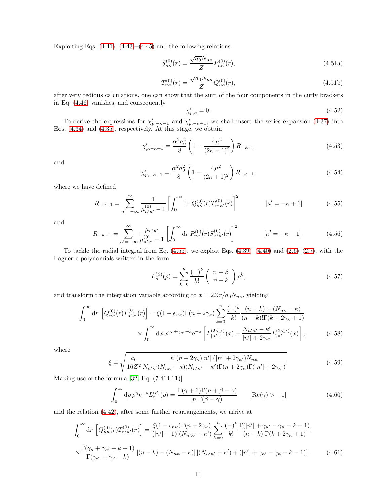Exploiting Eqs.  $(4.41)$ ,  $(4.43)$ – $(4.45)$  and the following relations:

$$
S_{n\kappa}^{(0)}(r) = \frac{\sqrt{a_0} N_{n\kappa}}{Z} P_{n\kappa}^{(0)}(r),
$$
\n(4.51a)

$$
T_{n\kappa}^{(0)}(r) = \frac{\sqrt{a_0} N_{n\kappa}}{Z} Q_{n\kappa}^{(0)}(r),
$$
\n(4.51b)

after very tedious calculations, one can show that the sum of the four components in the curly brackets in Eq. [\(4.46\)](#page-9-4) vanishes, and consequently

<span id="page-10-5"></span>
$$
\chi_{p,\kappa}' = 0.\tag{4.52}
$$

To derive the expressions for  $\chi'_{p,-\kappa-1}$  and  $\chi'_{p,-\kappa+1}$ , we shall insert the series expansion [\(4.37\)](#page-8-0) into Eqs. [\(4.34\)](#page-8-3) and [\(4.35\)](#page-8-4), respectively. At this stage, we obtain

<span id="page-10-3"></span>
$$
\chi_{p,-\kappa+1}' = \frac{\alpha^2 a_0^2}{8} \left( 1 - \frac{4\mu^2}{(2\kappa - 1)^2} \right) R_{-\kappa+1} \tag{4.53}
$$

and

<span id="page-10-4"></span>
$$
\chi_{p,-\kappa-1}' = \frac{\alpha^2 a_0^2}{8} \left( 1 - \frac{4\mu^2}{(2\kappa + 1)^2} \right) R_{-\kappa-1},\tag{4.54}
$$

where we have defined

<span id="page-10-0"></span>
$$
R_{-\kappa+1} = \sum_{n' = -\infty}^{\infty} \frac{1}{\mu_{n'\kappa'}^{(0)} - 1} \left[ \int_0^{\infty} dr \, Q_{n\kappa}^{(0)}(r) T_{n'\kappa'}^{(0)}(r) \right]^2 \qquad [\kappa' = -\kappa + 1]
$$
 (4.55)

and

$$
R_{-\kappa-1} = \sum_{n'=-\infty}^{\infty} \frac{\mu_{n'\kappa'}}{\mu_{n'\kappa'}^{(0)}} \left[ \int_0^{\infty} dr \, P_{n\kappa}^{(0)}(r) S_{n'\kappa'}^{(0)}(r) \right]^2 \qquad [\kappa' = -\kappa - 1]. \tag{4.56}
$$

To tackle the radial integral from Eq.  $(4.55)$ , we exploit Eqs.  $(4.39)$ – $(4.40)$  and  $(2.6)$ – $(2.7)$ , with the Laguerre polynomials written in the form

$$
L_n^{(\beta)}(\rho) = \sum_{k=0}^n \frac{(-)^k}{k!} \left( n + \frac{\beta}{n-k} \right) \rho^k,
$$
\n(4.57)

and transform the integration variable according to  $x=2Zr/a_0N_{n\kappa},$  yielding

$$
\int_0^\infty dr \left[ Q_{n\kappa}^{(0)}(r) T_{n'\kappa'}^{(0)}(r) \right] = \xi (1 - \epsilon_{n\kappa}) \Gamma(n + 2\gamma_\kappa) \sum_{k=0}^n \frac{(-)^k}{k!} \frac{(n-k) + (N_{n\kappa} - \kappa)}{(n-k)! \Gamma(k + 2\gamma_\kappa + 1)} \times \int_0^\infty dx \, x^{\gamma_\kappa + \gamma_{\kappa'} + k} e^{-x} \left[ L_{|n'| - 1}^{(2\gamma_{\kappa'})}(x) + \frac{N_{n'\kappa'} - \kappa'}{|n'| + 2\gamma_{\kappa'}} L_{|n'|}^{(2\gamma_{\kappa'})}(x) \right],
$$
\n(4.58)

where

<span id="page-10-1"></span>
$$
\xi = \sqrt{\frac{a_0}{16Z^2} \frac{n!(n+2\gamma_{\kappa})|n'|!(|n'|+2\gamma_{\kappa'})N_{n\kappa}}{N_{n'\kappa'}(N_{n\kappa}-\kappa)(N_{n'\kappa'}-\kappa')\Gamma(n+2\gamma_{\kappa})\Gamma(|n'|+2\gamma_{\kappa'})}}.
$$
(4.59)

Making use of the formula [\[32,](#page-18-4) Eq. (7.414.11)]

$$
\int_0^\infty d\rho \,\rho^\gamma e^{-\rho} L_n^{(\beta)}(\rho) = \frac{\Gamma(\gamma + 1)\Gamma(n + \beta - \gamma)}{n!\Gamma(\beta - \gamma)} \qquad [\text{Re}(\gamma) > -1]
$$
\n(4.60)

and the relation [\(4.42\)](#page-9-0), after some further rearrangements, we arrive at

<span id="page-10-2"></span>
$$
\int_{0}^{\infty} dr \left[ Q_{n\kappa}^{(0)}(r) T_{n'\kappa'}^{(0)}(r) \right] = \frac{\xi (1 - \epsilon_{n\kappa}) \Gamma(n + 2\gamma_{\kappa})}{(|n'| - 1)! (N_{n'\kappa'} + \kappa')} \sum_{k=0}^{n} \frac{(-)^k}{k!} \frac{\Gamma(|n'| + \gamma_{\kappa'} - \gamma_{\kappa} - k - 1)}{(n - k)! \Gamma(k + 2\gamma_{\kappa} + 1)} \times \frac{\Gamma(\gamma_{\kappa} + \gamma_{\kappa'} + k + 1)}{\Gamma(\gamma_{\kappa'} - \gamma_{\kappa} - k)} [(n - k) + (N_{n\kappa} - \kappa)] [(N_{n'\kappa'} + \kappa') + (|n'| + \gamma_{\kappa'} - \gamma_{\kappa} - k - 1)]. \tag{4.61}
$$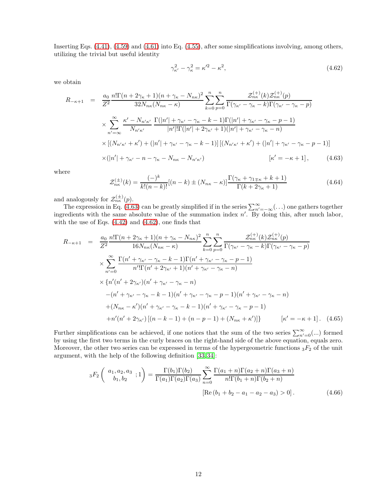Inserting Eqs. [\(4.41\)](#page-9-1), [\(4.59\)](#page-10-1) and [\(4.61\)](#page-10-2) into Eq. [\(4.55\)](#page-10-0), after some simplifications involving, among others, utilizing the trivial but useful identity

<span id="page-11-1"></span>
$$
\gamma_{\kappa'}^2 - \gamma_{\kappa}^2 = \kappa'^2 - \kappa^2,\tag{4.62}
$$

we obtain

<span id="page-11-0"></span>
$$
R_{-\kappa+1} = \frac{a_0}{Z^2} \frac{n! \Gamma(n + 2\gamma_{\kappa} + 1)(n + \gamma_{\kappa} - N_{n\kappa})^2}{32N_{n\kappa}(N_{n\kappa} - \kappa)} \sum_{k=0}^n \sum_{p=0}^n \frac{\mathcal{Z}_{n\kappa}^{(+)}(k)\mathcal{Z}_{n\kappa}^{(+)}(p)}{\Gamma(\gamma_{\kappa'} - \gamma_{\kappa} - k)\Gamma(\gamma_{\kappa'} - \gamma_{\kappa} - p)}
$$
  

$$
\times \sum_{n'=\infty}^{\infty} \frac{\kappa' - N_{n'\kappa'}}{N_{n'\kappa'}} \frac{\Gamma(|n'| + \gamma_{\kappa'} - \gamma_{\kappa} - k - 1)\Gamma(|n'| + \gamma_{\kappa'} - \gamma_{\kappa} - p - 1)}{|n'|!\Gamma(|n'| + 2\gamma_{\kappa'} + 1)(|n'| + \gamma_{\kappa'} - \gamma_{\kappa} - n)}
$$
  

$$
\times [(N_{n'\kappa'} + \kappa') + (|n'| + \gamma_{\kappa'} - \gamma_{\kappa} - k - 1)][(N_{n'\kappa'} + \kappa') + (|n'| + \gamma_{\kappa'} - \gamma_{\kappa} - p - 1)]
$$
  

$$
\times (|n'| + \gamma_{\kappa'} - n - \gamma_{\kappa} - N_{n\kappa} - N_{n'\kappa'}) \qquad [\kappa' = -\kappa + 1], \qquad (4.63)
$$

where

$$
\mathcal{Z}_{n\kappa}^{(\pm)}(k) = \frac{(-)^k}{k!(n-k)!} [(n-k) \pm (N_{n\kappa} - \kappa)] \frac{\Gamma(\gamma_{\kappa} + \gamma_{1\mp\kappa} + k + 1)}{\Gamma(k + 2\gamma_{\kappa} + 1)} \tag{4.64}
$$

and analogously for  $\mathcal{Z}_{n\kappa}^{(\pm)}(p)$ .

The expression in Eq. [\(4.63\)](#page-11-0) can be greatly simplified if in the series  $\sum_{n'=-\infty}^{\infty}(\ldots)$  one gathers together ingredients with the same absolute value of the summation index  $n'$ . By doing this, after much labor, with the use of Eqs.  $(4.42)$  and  $(4.62)$ , one finds that

<span id="page-11-2"></span>
$$
R_{-\kappa+1} = \frac{a_0}{Z^2} \frac{n! \Gamma(n+2\gamma_{\kappa}+1)(n+\gamma_{\kappa}-N_{n\kappa})^2}{16N_{n\kappa}(N_{n\kappa}-\kappa)} \sum_{k=0}^n \sum_{p=0}^n \frac{\mathcal{Z}_{n\kappa}^{(+)}(k)\mathcal{Z}_{n\kappa}^{(+)}(p)}{\Gamma(\gamma_{\kappa'}-\gamma_{\kappa}-p)}
$$
  
\n
$$
\times \sum_{n'=0}^{\infty} \frac{\Gamma(n'+\gamma_{\kappa'}-\gamma_{\kappa}-k-1)\Gamma(n'+\gamma_{\kappa'}-\gamma_{\kappa}-p-1)}{n'!\Gamma(n'+2\gamma_{\kappa'}+1)(n'+\gamma_{\kappa'}-\gamma_{\kappa}-n)}
$$
  
\n
$$
\times \left\{n'(n'+2\gamma_{\kappa'})(n'+\gamma_{\kappa'}-\gamma_{\kappa}-n) - (n'+\gamma_{\kappa'}-\gamma_{\kappa}-k-1)(n'+\gamma_{\kappa'}-\gamma_{\kappa}-p-1)(n'+\gamma_{\kappa'}-\gamma_{\kappa}-n) + (N_{n\kappa}-\kappa')(n'+\gamma_{\kappa'}-\gamma_{\kappa}-k-1)(n'+\gamma_{\kappa'}-\gamma_{\kappa}-p-1) + n'(n'+2\gamma_{\kappa'})[(n-k-1)+(n-p-1)+(N_{n\kappa}+\kappa')] \right\} \qquad [\kappa'=-\kappa+1]. \tag{4.65}
$$

Further simplifications can be achieved, if one notices that the sum of the two series  $\sum_{n'=0}^{\infty}$  (...) formed by using the first two terms in the curly braces on the right-hand side of the above equation, equals zero. Moreover, the other two series can be expressed in terms of the hypergeometric functions  ${}_{3}F_{2}$  of the unit argument, with the help of the following definition [\[33,](#page-18-5) [34\]](#page-18-6):

$$
{}_3F_2\left(\begin{array}{c} a_1, a_2, a_3 \\ b_1, b_2 \end{array}; 1\right) = \frac{\Gamma(b_1)\Gamma(b_2)}{\Gamma(a_1)\Gamma(a_2)\Gamma(a_3)} \sum_{n=0}^{\infty} \frac{\Gamma(a_1+n)\Gamma(a_2+n)\Gamma(a_3+n)}{n!\Gamma(b_1+n)\Gamma(b_2+n)}\n\left[\text{Re}\left(b_1+b_2-a_1-a_2-a_3\right) > 0\right].\n\tag{4.66}
$$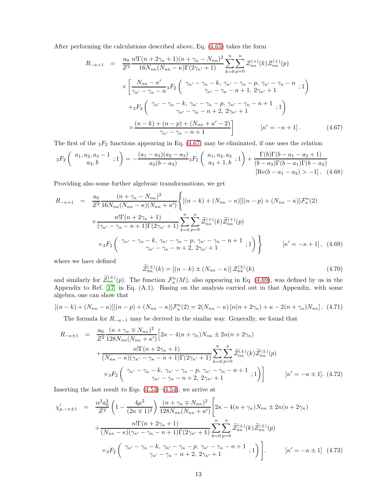After performing the calculations described above, Eq. [\(4.65\)](#page-11-2) takes the form

<span id="page-12-0"></span>
$$
R_{-\kappa+1} = \frac{a_0}{Z^2} \frac{n! \Gamma(n + 2\gamma_{\kappa} + 1)(n + \gamma_{\kappa} - N_{n\kappa})^2}{16N_{n\kappa}(N_{n\kappa} - \kappa)\Gamma(2\gamma_{\kappa'} + 1)} \sum_{k=0}^n \sum_{p=0}^n \mathcal{Z}_{n\kappa}^{(+)}(k) \mathcal{Z}_{n\kappa}^{(+)}(p)
$$
  

$$
\times \left[ \frac{N_{n\kappa} - \kappa'}{\gamma_{\kappa'} - \gamma_{\kappa} - n} {}_3F_2 \left( \begin{array}{c} \gamma_{\kappa'} - \gamma_{\kappa} - k, \gamma_{\kappa'} - \gamma_{\kappa} - p, \gamma_{\kappa'} - \gamma_{\kappa} - n \\ \gamma_{\kappa'} - \gamma_{\kappa} - n + 1, 2\gamma_{\kappa'} + 1 \end{array} ; 1 \right) \right.
$$
  

$$
+ {}_3F_2 \left( \begin{array}{c} \gamma_{\kappa'} - \gamma_{\kappa} - k, \gamma_{\kappa'} - \gamma_{\kappa} - p, \gamma_{\kappa'} - \gamma_{\kappa} - n + 1 \\ \gamma_{\kappa'} - \gamma_{\kappa} - n + 2, 2\gamma_{\kappa'} + 1 \end{array} ; 1 \right)
$$
  

$$
\times \frac{(n - k) + (n - p) + (N_{n\kappa} + \kappa' - 2)}{\gamma_{\kappa'} - \gamma_{\kappa} - n + 1} \left[ \kappa' = -\kappa + 1 \right]. \tag{4.67}
$$

The first of the  ${}_{3}F_2$  functions appearing in Eq. [\(4.67\)](#page-12-0) may be eliminated, if one uses the relation

$$
{}_3F_2\left(\begin{array}{c} a_1, a_2, a_3 - 1 \\ a_3, b \end{array}; 1\right) = -\frac{(a_1 - a_3)(a_2 - a_3)}{a_3(b - a_3)} {}_3F_2\left(\begin{array}{c} a_1, a_2, a_3 \\ a_3 + 1, b \end{array}; 1\right) + \frac{\Gamma(b)\Gamma(b - a_1 - a_2 + 1)}{(b - a_3)\Gamma(b - a_1)\Gamma(b - a_2)} \left[\text{Re}(b - a_1 - a_2) > -1\right]. \tag{4.68}
$$

Providing also some further algebraic transformations, we get

<span id="page-12-1"></span>
$$
R_{-\kappa+1} = \frac{a_0}{Z^2} \frac{(n + \gamma_{\kappa} - N_{n\kappa})^2}{16N_{n\kappa}(N_{n\kappa} - \kappa)(N_{n\kappa} + \kappa')} \left\{ \left[ (n - k) + (N_{n\kappa} - \kappa) \right] \left[ (n - p) + (N_{n\kappa} - \kappa) \right] \mathcal{F}_{\kappa}^n (2) \right\}
$$
  
+ 
$$
\frac{n! \Gamma(n + 2\gamma_{\kappa} + 1)}{(\gamma_{\kappa'} - \gamma_{\kappa} - n + 1) \Gamma(2\gamma_{\kappa'} + 1)} \sum_{k=0}^n \sum_{p=0}^n \tilde{Z}_{n\kappa}^{(+)}(k) \tilde{Z}_{n\kappa}^{(+)}(p)
$$
  

$$
\times {}_3F_2 \left( \gamma_{\kappa'} - \gamma_{\kappa} - k, \gamma_{\kappa'} - \gamma_{\kappa} - p, \gamma_{\kappa'} - \gamma_{\kappa} - n + 1 ; 1 \right) \right\} \qquad [\kappa' = -\kappa + 1], \text{ (4.69)}
$$

where we have defined

$$
\widetilde{\mathcal{Z}}_{n\kappa}^{(\pm)}(k) = \left[ (n-k) \pm (N_{n\kappa} - \kappa) \right] \mathcal{Z}_{n\kappa}^{(\pm)}(k) \tag{4.70}
$$

and similarly for  $\widetilde{\mathcal{Z}}_{nk}^{(\pm)}(p)$ . The function  $\mathcal{F}_{nk}^n(M)$ , also appearing in Eq. [\(4.69\)](#page-12-1), was defined by us in the Appendix to Ref. [\[17\]](#page-17-2) in Eq. (A.1). Basing on the analysis carried out in that Appendix, with some algebra, one can show that

$$
[(n-k) + (N_{n\kappa} - \kappa)][(n-p) + (N_{n\kappa} - \kappa)]\mathcal{F}_{\kappa}^{n}(2) = 2(N_{n\kappa} - \kappa)[n(n+2\gamma_{\kappa}) + \kappa - 2(n+\gamma_{\kappa})N_{n\kappa}].
$$
 (4.71)

The formula for  $R_{-\kappa-1}$  may be derived in the similar way. Generally, we found that

$$
R_{-\kappa\pm1} = \frac{a_0}{Z^2} \frac{(n + \gamma_{\kappa} \mp N_{n\kappa})^2}{128N_{n\kappa}(N_{n\kappa} + \kappa')} \Big[ 2\kappa - 4(n + \gamma_{\kappa})N_{n\kappa} \pm 2n(n + 2\gamma_{\kappa}) + \frac{n!\Gamma(n + 2\gamma_{\kappa} + 1)}{(N_{n\kappa} - \kappa)(\gamma_{\kappa'} - \gamma_{\kappa} - n + 1)\Gamma(2\gamma_{\kappa'} + 1)} \sum_{k=0}^n \sum_{p=0}^n \tilde{z}_{n\kappa}^{(\pm)}(k)\tilde{z}_{n\kappa}^{(\pm)}(p) + \frac{\gamma_{\kappa} - \kappa}{N_{n\kappa} - \gamma_{\kappa} - n + 1}\frac{\tilde{z}_{n\kappa}^{(n)}\Gamma(2\gamma_{\kappa'} + 1)}{\gamma_{\kappa'} - \gamma_{\kappa} - n + 2, 2\gamma_{\kappa'} + 1}; 1 \Big) \Big] \qquad [\kappa' = -\kappa \pm 1]. \tag{4.72}
$$

Inserting the last result to Eqs.  $(4.53)$ – $(4.54)$ , we arrive at

<span id="page-12-2"></span>
$$
\chi_{p,-\kappa\pm1}' = \frac{\alpha^2 a_0^3}{Z^2} \left( 1 - \frac{4\mu^2}{(2\kappa + 1)^2} \right) \frac{(n + \gamma_{\kappa} \mp N_{n\kappa})^2}{128N_{n\kappa}(N_{n\kappa} + \kappa')} \left[ 2\kappa - 4(n + \gamma_{\kappa})N_{n\kappa} \pm 2n(n + 2\gamma_{\kappa}) + \frac{n!\Gamma(n + 2\gamma_{\kappa} + 1)}{(N_{n\kappa} - \kappa)(\gamma_{\kappa'} - \gamma_{\kappa} - n + 1)\Gamma(2\gamma_{\kappa'} + 1)} \sum_{k=0}^n \sum_{p=0}^n \tilde{z}_{n\kappa}^{(\pm)}(k) \tilde{z}_{n\kappa}^{(\pm)}(p) + \chi_3 F_2 \left( \gamma_{\kappa'} - \gamma_{\kappa} - k, \gamma_{\kappa'} - \gamma_{\kappa} - p, \gamma_{\kappa'} - \gamma_{\kappa} - n + 1; 1 \right) \right]. \qquad [\kappa' = -\kappa \pm 1] \tag{4.73}
$$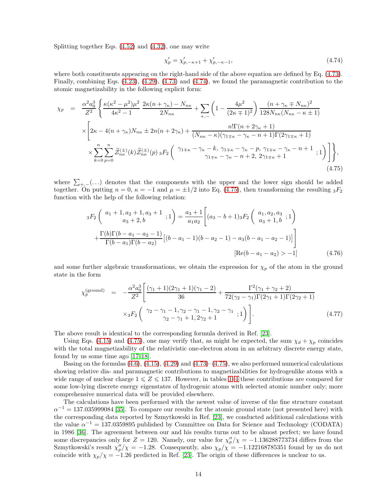Splitting together Eqs. [\(4.52\)](#page-10-5) and [\(4.32\)](#page-8-6), one may write

<span id="page-13-0"></span>
$$
\chi_p' = \chi_{p,-\kappa+1}' + \chi_{p,-\kappa-1}',\tag{4.74}
$$

where both constituents appearing on the right-hand side of the above equation are defined by Eq. [\(4.73\)](#page-12-2). Finally, combining Eqs. [\(4.23\)](#page-7-5), [\(4.29\)](#page-7-6), [\(4.73\)](#page-12-2) and [\(4.74\)](#page-13-0), we found the paramagnetic contribution to the atomic magnetizability in the following explicit form:

<span id="page-13-1"></span>
$$
\chi_{p} = \frac{\alpha^{2} a_{0}^{3}}{Z^{2}} \left\{ \frac{\kappa (\kappa^{2} - \mu^{2}) \mu^{2}}{4 \kappa^{2} - 1} \frac{2 \kappa (n + \gamma_{\kappa}) - N_{n\kappa}}{2 N_{n\kappa}} + \sum_{+,-} \left( 1 - \frac{4 \mu^{2}}{(2 \kappa \mp 1)^{2}} \right) \frac{(n + \gamma_{\kappa} \mp N_{n\kappa})^{2}}{128 N_{n\kappa} (N_{n\kappa} - \kappa \pm 1)} \right. \\
\times \left[ 2 \kappa - 4(n + \gamma_{\kappa}) N_{n\kappa} \pm 2n(n + 2\gamma_{\kappa}) + \frac{n! \Gamma(n + 2\gamma_{\kappa} + 1)}{(N_{n\kappa} - \kappa)(\gamma_{1 \mp \kappa} - \gamma_{\kappa} - n + 1) \Gamma(2\gamma_{1 \mp \kappa} + 1)} \right. \\
\times \sum_{k=0}^{n} \sum_{p=0}^{n} \widetilde{Z}_{n\kappa}^{(\pm)}(k) \widetilde{Z}_{n\kappa}^{(\pm)}(p) \, {}_{3}F_{2} \left( \begin{array}{c} \gamma_{1 \mp \kappa} - \gamma_{\kappa} - k, \, \gamma_{1 \mp \kappa} - \gamma_{\kappa} - p, \, \gamma_{1 \mp \kappa} - \gamma_{\kappa} - n + 1 \\ \gamma_{1 \mp \kappa} - \gamma_{\kappa} - n + 2, \, 2\gamma_{1 \mp \kappa} + 1 \end{array} ; 1 \right) \right], \tag{4.75}
$$

where  $\sum_{+,-}$ (...) denotes that the components with the upper and the lower sign should be added together. On putting  $n = 0$ ,  $\kappa = -1$  and  $\mu = \pm 1/2$  into Eq. [\(4.75\)](#page-13-1), then transforming the resulting  ${}_{3}F_{2}$ function with the help of the following relation:

$$
{}_{3}F_{2}\left(\begin{array}{c} a_{1}+1,a_{2}+1,a_{3}+1 \\ a_{3}+2,b \end{array};1\right) = \frac{a_{3}+1}{a_{1}a_{2}} \left[ (a_{3}-b+1)_{3} F_{2}\left(\begin{array}{c} a_{1},a_{2},a_{3} \\ a_{3}+1,b \end{array};1\right) + \frac{\Gamma(b)\Gamma(b-a_{1}-a_{2}-1)}{\Gamma(b-a_{1})\Gamma(b-a_{2})} \left[ (b-a_{1}-1)(b-a_{2}-1) - a_{3}(b-a_{1}-a_{2}-1) \right] \right]
$$
\n
$$
\left[ \text{Re}(b-a_{1}-a_{2}) > -1 \right] \tag{4.76}
$$

and some further algebraic transformations, we obtain the expression for  $\chi_p$  of the atom in the ground state in the form

$$
\chi_p^{\text{(ground)}} = -\frac{\alpha^2 a_0^3}{Z^2} \left[ \frac{(\gamma_1 + 1)(2\gamma_1 + 1)(\gamma_1 - 2)}{36} + \frac{\Gamma^2(\gamma_1 + \gamma_2 + 2)}{72(\gamma_2 - \gamma_1)\Gamma(2\gamma_1 + 1)\Gamma(2\gamma_2 + 1)} + \frac{\Gamma^2(\gamma_1 + \gamma_2 + 2)}{72(\gamma_2 - \gamma_1)\Gamma(2\gamma_1 + 1)\Gamma(2\gamma_2 + 1)} + \frac{\Gamma^2(\gamma_1 + \gamma_2 + 2)}{72(\gamma_2 - \gamma_1)\Gamma(2\gamma_1 + 1)\Gamma(2\gamma_2 + 1)} \right].
$$
\n(4.77)

The above result is identical to the corresponding formula derived in Ref. [\[23\]](#page-17-4).

Using Eqs. [\(4.15\)](#page-6-3) and [\(4.75\)](#page-13-1), one may verify that, as might be expected, the sum  $\chi_d + \chi_p$  coincides with the total magnetizability of the relativistic one-electron atom in an arbitrary discrete energy state, found by us some time ago [\[17,](#page-17-2) [18\]](#page-17-7).

Basing on the formulas  $(4.6)$ ,  $(4.15)$ ,  $(4.29)$  and  $(4.73)$ – $(4.75)$ , we also performed numerical calculations showing relative dia- and paramagnetic contributions to magnetizabilities for hydrogenlike atoms with a wide range of nuclear charge  $1 \leq Z \leq 137$  $1 \leq Z \leq 137$  $1 \leq Z \leq 137$ . However, in tables 1[–4](#page-15-0) these contributions are compared for some low-lying discrete energy eigenstates of hydrogenic atoms with selected atomic number only; more comprehensive numerical data will be provided elsewhere.

The calculations have been performed with the newest value of inverse of the fine structure constant  $\alpha^{-1} = 137.035999084$  [\[35\]](#page-18-7). To compare our results for the atomic ground state (not presented here) with the corresponding data reported by Szmytkowski in Ref. [\[23\]](#page-17-4), we conducted additional calculations with the value  $\alpha^{-1} = 137.0359895$  published by Committee on Data for Science and Technology (CODATA) in 1986 [\[36\]](#page-18-8). The agreement between our and his results turns out to be almost perfect; we have found some discrepancies only for  $Z = 120$ . Namely, our value for  $\chi_p''/\chi = -1.136288773734$  differs from the Szmytkowski's result  $\chi_p''/\chi = -1.28$ . Consequently, also  $\chi_p/\chi = -1.122168785351$  found by us do not coincide with  $\chi_p/\chi = -1.26$  predicted in Ref. [\[23\]](#page-17-4). The origin of these differences is unclear to us.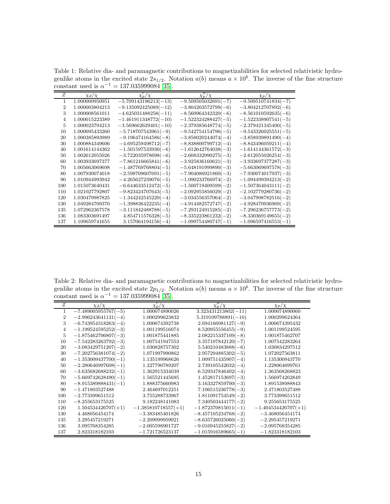<span id="page-14-0"></span>Table 1: Relative dia- and paramagnetic contributions to magnetizabilities for selected relativistic hydrogenlike atoms in the excited state  $2s_{1/2}$ . Notation  $a(b)$  means  $a \times 10^b$ . The inverse of the fine structure constant used is  $\alpha^{-1} = 137.035999084$  [\[35\]](#page-18-7).

| Z   | $\chi_d/\chi$  | $\chi'_n/\chi$         | $\chi''_n/\chi$       | $\chi_p/\chi$         |
|-----|----------------|------------------------|-----------------------|-----------------------|
|     | 1.000000950951 | $-5.709143196213(-13)$ | $-9.509505032691(-7)$ | $-9.509510741834(-7)$ |
| '2  | 1.000003804213 | $-9.135092425089(-12)$ | $-3.804203572799(-6)$ | $-3.804212707892(-6)$ |
| 3   | 1.000008561011 | $-4.625031488258(-11)$ | $-8.560964342320(-6)$ | $-8.561010592635(-6)$ |
| 4   | 1.000015223389 | $-1.461911348772(-10)$ | $-1.522324288427(-5)$ | $-1.522338907541(-5)$ |
| 5   | 1.000023794213 | $-3.569662629401(-10)$ | $-2.379385648774(-5)$ | $-2.379421345400(-5)$ |
| 10  | 1.000095433260 | $-5.718707543961(-9)$  | $-9.542754154796(-5)$ | $-9.543326025551(-5)$ |
| 20  | 1.000385893989 | $-9.196474164586(-8)$  | $-3.858020244074(-4)$ | $-3.858939891490(-4)$ |
| 30  | 1.000884349606 | $-4.695259498712(-7)$  | $-8.838800799712(-4)$ | $-8.843496059211(-4)$ |
| 40  | 1.001614144362 | $-1.501597533930(-6)$  | $-1.612642764038(-3)$ | $-1.614144361572(-3)$ |
| 50  | 1.002612055026 | $-3.722035978698(-6)$  | $-2.608332990275(-3)$ | $-2.612055026254(-3)$ |
| 60  | 1.003933697377 | $-7.861216665841(-6)$  | $-3.925836160621(-3)$ | $-3.933697377287(-3)$ |
| 70  | 1.005663069698 | $-1.487769768804(-5)$  | $-5.648191999890(-3)$ | $-5.663069697578(-3)$ |
| 80  | 1.007930074018 | $-2.598709607691(-5)$  | $-7.904086921860(-3)$ | $-7.930074017937(-3)$ |
| 90  | 1.010944993942 | $-4.265627239076(-5)$  | $-1.090233766974(-2)$ | $-1.094499394213(-2)$ |
| 100 | 1.015073640431 | $-6.644633512472(-5)$  | $-1.500719409599(-2)$ | $-1.507364043111(-2)$ |
| 110 | 1.021027792807 | $-9.823424707643(-5)$  | $-2.092955856029(-2)$ | $-2.102779280736(-2)$ |
| 120 | 1.030479987825 | $-1.344242545220(-4)$  | $-3.034556357064(-2)$ | $-3.047998782516(-2)$ |
| 130 | 1.049284709370 | $-1.398836422235(-4)$  | $-4.914482572747(-2)$ | $-4.928470936969(-2)$ |
| 135 | 1.072962367578 | $-3.111842488788(-5)$  | $-7.293124915285(-2)$ | $-7.296236757773(-2)$ |
| 136 | 1.083303691497 | $4.854711576328(-5)$   | $-8.335223861232(-2)$ | $-8.330369149655(-2)$ |
| 137 | 1.109659741655 | $3.157064194156(-4)$   | $-1.099754480747(-1)$ | $-1.096597416553(-1)$ |

<span id="page-14-1"></span>Table 2: Relative dia- and paramagnetic contributions to magnetizabilities for selected relativistic hydrogenlike atoms in the excited state  $2p_{1/2}$ . Notation  $a(b)$  means  $a \times 10^b$ . The inverse of the fine structure constant used is  $\alpha^{-1} = 137.035999084$  [\[35\]](#page-18-7).

| Z   | $\chi_d/\chi$         | $\chi'_n/\chi$        | $\chi_{p}^{\prime\prime}/\chi$ | $\chi_p/\chi$         |
|-----|-----------------------|-----------------------|--------------------------------|-----------------------|
| 1   | $-7.489005955767(-5)$ | 1.000074890026        | $3.323431213802(-11)$          | 1.000074890060        |
| 2   | $-2.996243641131(-4)$ | 1.000299623832        | $5.319109788891(-10)$          | 1.000299624364        |
| 3   | $-6.743954318263(-4)$ | 1.000674392738        | $2.694166981127(-9)$           | 1.000674395432        |
| 4   | $-1.199524595252(-3)$ | 1.001199516074        | $8.520955556455(-9)$           | 1.001199524595        |
| 5   | $-1.875462706807(-3)$ | 1.001875441885        | $2.082215337109(-8)$           | 1.001875462707        |
| 10  | $-7.542283263792(-3)$ | 1.007541947553        | $3.357107842120(-7)$           | 1.007542283264        |
| 20  | $-3.083429751207(-2)$ | 1.030828757302        | $5.540210483888(-6)$           | 1.030834297512        |
| 30  | $-7.202756381074(-2)$ | 1.071997990862        | $2.957294885302(-5)$           | 1.072027563811        |
| 40  | $-1.353009437700(-1)$ | 1.135199968626        | $1.009751435907(-4)$           | 1.135300943770        |
| 50  | $-2.280646997608(-1)$ | 1.227790789207        | $2.739105542032(-4)$           | 1.228064699761        |
| 60  | $-3.635682688232(-1)$ | 1.362915334039        | $6.529347846402(-4)$           | 1.363568268823        |
| 70  | $-5.669742628490(-1)$ | 1.565521445695        | $1.452817153697(-3)$           | 1.566974262849        |
| 80  | $-8.915389888431(-1)$ | 1.888375660983        | $3.163327859700(-3)$           | 1.891538988843        |
| 90  | $-1.471803527488$     | 2.464697012251        | $7.106515236778(-3)$           | 2.471803527488        |
| 100 | $-2.773399651512$     | 3.755288733967        | $1.811091754549(-2)$           | 3.773399651512        |
| 110 | $-8.255653175525$     | 9.182248141083        | $7.340503444177(-2)$           | 9.255653175525        |
| 120 | $1.504534426707(+1)$  | $-1.385810718557(+1)$ | $-1.872370815011(-1)$          | $-1.404534426707(+1)$ |
| 130 | 4.468056454174        | $-3.383485401826$     | $-8.457105234768(-2)$          | $-3.468056454174$     |
| 135 | 3.295457219271        | $-2.209099959021$     | $-8.635726025060(-2)$          | $-2.295457219271$     |
| 136 | 3.095768354285        | $-2.005598901727$     | $-9.016945255827(-2)$          | $-2.095768354285$     |
| 137 | 2.823318182103        | $-1.721726523137$     | $-1.015916589665(-1)$          | $-1.823318182103$     |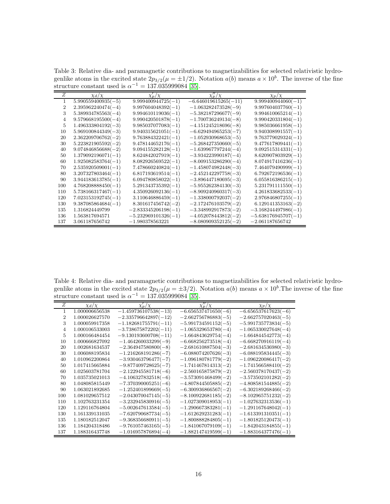<span id="page-15-1"></span>Table 3: Relative dia- and paramagnetic contributions to magnetizabilities for selected relativistic hydrogenlike atoms in the excited state  $2p_{3/2}(\mu = \pm 1/2)$ . Notation  $a(b)$  means  $a \times 10^b$ . The inverse of the fine structure constant used is  $\alpha^{-1} = 137.035999084$  [\[35\]](#page-18-7).

| Z   | $\chi_d/\chi$        | $\chi'_n/\chi$        | $\chi''_n/\chi$        | $\chi_p/\chi$         |
|-----|----------------------|-----------------------|------------------------|-----------------------|
| 1   | $5.990559400935(-5)$ | $9.999400944725(-1)$  | $-6.646019615265(-11)$ | $9.999400944060(-1)$  |
| 2   | $2.395962240474(-4)$ | $9.997604048392(-1)$  | $-1.063282473528(-9)$  | $9.997604037760(-1)$  |
| 3   | $5.389934785563(-4)$ | $9.994610119036(-1)$  | $-5.382187296677(-9)$  | $9.994610065214(-1)$  |
| 4   | $9.579668195500(-4)$ | $9.990420501878(-1)$  | $-1.700736249134(-8)$  | $9.990420331804(-1)$  |
| 5   | $1.496333804192(-3)$ | $9.985037077083(-1)$  | $-4.151245218696(-8)$  | $9.985036661958(-1)$  |
| 10  | $5.969100844349(-3)$ | $9.940315621051(-1)$  | $-6.629494965253(-7)$  | $9.940308991557(-1)$  |
| 20  | $2.362209706762(-2)$ | $9.763884322421(-1)$  | $-1.052930968653(-5)$  | $9.763779029324(-1)$  |
| 30  | $5.223821905592(-2)$ | $9.478144652176(-1)$  | $-5.268427350660(-5)$  | $9.477617809441(-1)$  |
| 40  | $9.074846856688(-2)$ | $9.094155282128(-1)$  | $-1.639967797244(-4)$  | $9.092515314331(-1)$  |
| 50  | $1.379092196071(-1)$ | $8.624842027919(-1)$  | $-3.934223990187(-4)$  | $8.620907803929(-1)$  |
| 60  | $1.925082583764(-1)$ | $8.082926569522(-1)$  | $-8.009153286290(-4)$  | $8.074917416236(-1)$  |
| 70  | $2.535920509001(-1)$ | $7.478660240824(-1)$  | $-1.458074982448(-3)$  | $7.464079490999(-1)$  |
| 80  | $3.207327803464(-1)$ | $6.817193619514(-1)$  | $-2.452142297758(-3)$  | $6.792672196536(-1)$  |
| 90  | $3.944183613785(-1)$ | $6.094780858022(-1)$  | $-3.896447180695(-3)$  | $6.055816386215(-1)$  |
| 100 | $4.768208888450(-1)$ | $5.291343735392(-1)$  | $-5.955262384130(-3)$  | $5.231791111550(-1)$  |
| 110 | $5.738166317467(-1)$ | $4.350926092136(-1)$  | $-8.909240960317(-3)$  | $4.261833682533(-1)$  |
| 120 | $7.023153192745(-1)$ | $3.110646886459(-1)$  | $-1.338000792037(-2)$  | $2.976846807255(-1)$  |
| 130 | $9.387085864684(-1)$ | $8.301617456742(-2)$  | $-2.172476103579(-2)$  | $6.129141353163(-2)$  |
| 135 | 1.316824449799       | $-2.833345206198(-1)$ | $-3.348992917873(-2)$  | $-3.168244497986(-1)$ |
| 136 | 1.563817694571       | $-5.232969101326(-1)$ | $-4.052078443812(-2)$  | $-5.638176945707(-1)$ |
| 137 | 3.061187656742       | $-1.980378563221$     | $-8.080909352125(-2)$  | $-2.061187656742$     |

<span id="page-15-0"></span>Table 4: Relative dia- and paramagnetic contributions to magnetizabilities for selected relativistic hydrogenlike atoms in the excited state  $2p_{3/2}(\mu = \pm 3/2)$ . Notation  $a(b)$  means  $a \times 10^b$ . The inverse of the fine structure constant used is  $\alpha^{-1} = 137.035999084$  [\[35\]](#page-18-7).

| Ζ   | $\chi_d/\chi$  | $\chi'_n/\chi$         | $\chi_n''/\chi$       | $\chi_p/\chi$         |
|-----|----------------|------------------------|-----------------------|-----------------------|
| L   | 1.000006656538 | $-1.459736107538(-13)$ | $-6.656537471650(-6)$ | $-6.656537617623(-6)$ |
| 2   | 1.000026627570 | $-2.335796642897(-12)$ | $-2.662756786883(-5)$ | $-2.662757020463(-5)$ |
| 3   | 1.000059917358 | $-1.182681755791(-11)$ | $-5.991734591152(-5)$ | $-5.991735773834(-5)$ |
| 4   | 1.000106533003 | $-3.738675872202(-11)$ | $-1.065329653780(-4)$ | $-1.065330027648(-4)$ |
| 5   | 1.000166484454 | $-9.130193600708(-11)$ | $-1.664843629754(-4)$ | $-1.664844542773(-4)$ |
| 10  | 1.000666827092 | $-1.464260033299(-9)$  | $-6.668256273518(-4)$ | $-6.668270916119(-4)$ |
| 20  | 1.002681634537 | $-2.364947580800(-8)$  | $-2.681610887504(-3)$ | $-2.681634536980(-3)$ |
| 30  | 1.006088195834 | $-1.216268191286(-7)$  | $-6.088074207626(-3)$ | $-6.088195834445(-3)$ |
| 40  | 1.010962200864 | $-3.930463796477(-7)$  | $-1.096180781779(-2)$ | $-1.096220086417(-2)$ |
| 50  | 1.017415665884 | $-9.877409728625(-7)$  | $-1.741467814313(-2)$ | $-1.741566588410(-2)$ |
| 60  | 1.025603781704 | $-2.122945581718(-6)$  | $-2.560165875879(-2)$ | $-2.560378170437(-2)$ |
| 70  | 1.035735021013 | $-4.106327832518(-6)$  | $-3.573091468499(-2)$ | $-3.573502101282(-2)$ |
| 80  | 1.048085815449 | $-7.370390005251(-6)$  | $-4.807844505885(-2)$ | $-4.808581544885(-2)$ |
| 90  | 1.063021892685 | $-1.252401899669(-5)$  | $-6.300936866567(-2)$ | $-6.302189268466(-2)$ |
| 100 | 1.081029657512 | $-2.043070047145(-5)$  | $-8.100922681185(-2)$ | $-8.102965751232(-2)$ |
| 110 | 1.102763231354 | $-3.232945830916(-5)$  | $-1.027309018953(-1)$ | $-1.027632313536(-1)$ |
| 120 | 1.129116764804 | $-5.002647613584(-5)$  | $-1.290667383281(-1)$ | $-1.291167648042(-1)$ |
| 130 | 1.161339131035 | $-7.620790687734(-5)$  | $-1.612629231283(-1)$ | $-1.613391310351(-1)$ |
| 135 | 1.180182512047 | $-9.368356680911(-5)$  | $-1.800888284805(-1)$ | $-1.801825120473(-1)$ |
| 136 | 1.184204318486 | $-9.761057463165(-5)$  | $-1.841067079109(-1)$ | $-1.842043184855(-1)$ |
| 137 | 1.188316437748 | $-1.016957876894(-4)$  | $-1.882147419599(-1)$ | $-1.883164377476(-1)$ |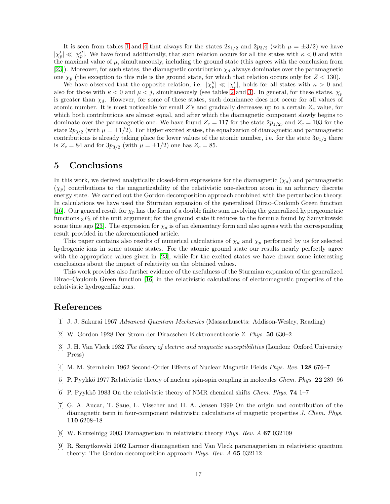It is seen from tables [1](#page-14-0) and [4](#page-15-0) that always for the states  $2s_{1/2}$  and  $2p_{3/2}$  (with  $\mu = \pm 3/2$ ) we have  $|\chi'_p| \ll |\chi''_p|$ . We have found additionally, that such relation occurs for all the states with  $\kappa < 0$  and with the maximal value of  $\mu$ , simultaneously, including the ground state (this agrees with the conclusion from [\[23\]](#page-17-4)). Moreover, for such states, the diamagnetic contribution  $\chi_d$  always dominates over the paramagnetic one  $\chi_p$  (the exception to this rule is the ground state, for which that relation occurs only for  $Z < 130$ ).

We have observed that the opposite relation, i.e.  $|\chi_p''| \ll |\chi_p'|$ , holds for all states with  $\kappa > 0$  and also for those with  $\kappa < 0$  and  $\mu < j$ , simultaneously (see tables [2](#page-14-1) and [3\)](#page-15-1). In general, for these states,  $\chi_p$ is greater than  $\chi_d$ . However, for some of these states, such dominance does not occur for all values of atomic number. It is most noticeable for small Z's and gradually decreases up to a certain  $Z_c$  value, for which both contributions are almost equal, and after which the diamagnetic component slowly begins to dominate over the paramagnetic one. We have found  $Z_c = 117$  for the state  $2p_{1/2}$ , and  $Z_c = 103$  for the state  $2p_{3/2}$  (with  $\mu = \pm 1/2$ ). For higher excited states, the equalization of diamagnetic and paramagnetic contributions is already taking place for lower values of the atomic number, i.e. for the state  $3p_{1/2}$  there is  $Z_c = 84$  and for  $3p_{3/2}$  (with  $\mu = \pm 1/2$ ) one has  $Z_c = 85$ .

# 5 Conclusions

In this work, we derived analytically closed-form expressions for the diamagnetic  $(\chi_d)$  and paramagnetic  $(\chi_p)$  contributions to the magnetizability of the relativistic one-electron atom in an arbitrary discrete energy state. We carried out the Gordon decomposition approach combined with the perturbation theory. In calculations we have used the Sturmian expansion of the generalized Dirac–Coulomb Green function [\[16\]](#page-17-1). Our general result for  $\chi_p$  has the form of a double finite sum involving the generalized hypergeometric functions  ${}_{3}F_2$  of the unit argument; for the ground state it reduces to the formula found by Szmytkowski some time ago [\[23\]](#page-17-4). The expression for  $\chi_d$  is of an elementary form and also agrees with the corresponding result provided in the aforementioned article.

This paper contains also results of numerical calculations of  $\chi_d$  and  $\chi_p$  performed by us for selected hydrogenic ions in some atomic states. For the atomic ground state our results nearly perfectly agree with the appropriate values given in [\[23\]](#page-17-4), while for the excited states we have drawn some interesting conclusions about the impact of relativity on the obtained values.

This work provides also further evidence of the usefulness of the Sturmian expansion of the generalized Dirac–Coulomb Green function [\[16\]](#page-17-1) in the relativistic calculations of electromagnetic properties of the relativistic hydrogenlike ions.

#### <span id="page-16-0"></span>References

- <span id="page-16-1"></span>[1] J. J. Sakurai 1967 *Advanced Quantum Mechanics* (Massachusetts: Addison-Wesley, Reading)
- <span id="page-16-2"></span>[2] W. Gordon 1928 Der Strom der Diracschen Elektronentheorie *Z. Phys.* 50 630–2
- [3] J. H. Van Vleck 1932 *The theory of electric and magnetic susceptibilities* (London: Oxford University Press)
- <span id="page-16-3"></span>[4] M. M. Sternheim 1962 Second-Order Effects of Nuclear Magnetic Fields *Phys. Rev.* 128 676–7
- [5] P. Pyykk¨o 1977 Relativistic theory of nuclear spin-spin coupling in molecules *Chem. Phys.* 22 289–96
- <span id="page-16-4"></span>[6] P. Pyykk¨o 1983 On the relativistic theory of NMR chemical shifts *Chem. Phys.* 74 1–7
- [7] G. A. Aucar, T. Saue, L. Visscher and H. A. Jensen 1999 On the origin and contribution of the diamagnetic term in four-component relativistic calculations of magnetic properties *J. Chem. Phys.* 110 6208–18
- <span id="page-16-6"></span><span id="page-16-5"></span>[8] W. Kutzelnigg 2003 Diamagnetism in relativistic theory *Phys. Rev. A* 67 032109
- [9] R. Szmytkowski 2002 Larmor diamagnetism and Van Vleck paramagnetism in relativistic quantum theory: The Gordon decomposition approach *Phys. Rev. A* 65 032112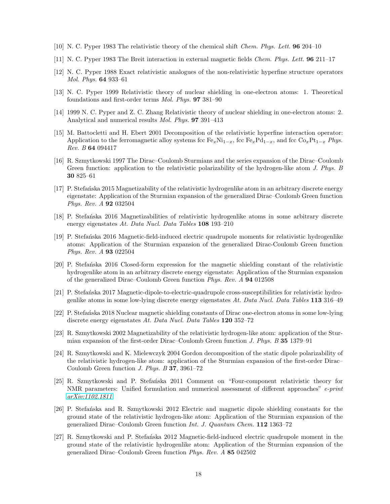- <span id="page-17-5"></span>[10] N. C. Pyper 1983 The relativistic theory of the chemical shift *Chem. Phys. Lett.* 96 204–10
- [11] N. C. Pyper 1983 The Breit interaction in external magnetic fields *Chem. Phys. Lett.* 96 211–17
- [12] N. C. Pyper 1988 Exact relativistic analogues of the non-relativistic hyperfine structure operators *Mol. Phys.* 64 933–61
- <span id="page-17-6"></span>[13] N. C. Pyper 1999 Relativistic theory of nuclear shielding in one-electron atoms: 1. Theoretical foundations and first-order terms *Mol. Phys.* 97 381–90
- <span id="page-17-0"></span>[14] 1999 N. C. Pyper and Z. C. Zhang Relativistic theory of nuclear shielding in one-electron atoms: 2. Analytical and numerical results *Mol. Phys.* 97 391–413
- [15] M. Battocletti and H. Ebert 2001 Decomposition of the relativistic hyperfine interaction operator: Application to the ferromagnetic alloy systems fcc  $Fe_xNi_{1-x}$ , fcc  $Fe_xPd_{1-x}$ , and fcc  $Co_xPt_{1-x}$  *Phys. Rev. B* 64 094417
- <span id="page-17-1"></span>[16] R. Szmytkowski 1997 The Dirac–Coulomb Sturmians and the series expansion of the Dirac–Coulomb Green function: application to the relativistic polarizability of the hydrogen-like atom *J. Phys. B* 30 825–61
- <span id="page-17-2"></span>[17] P. Stefańska 2015 Magnetizability of the relativistic hydrogenlike atom in an arbitrary discrete energy eigenstate: Application of the Sturmian expansion of the generalized Dirac–Coulomb Green function *Phys. Rev. A* 92 032504
- <span id="page-17-7"></span>[18] P. Stefa´nska 2016 Magnetizabilities of relativistic hydrogenlike atoms in some arbitrary discrete energy eigenstates *At. Data Nucl. Data Tables* 108 193–210
- [19] P. Stefa´nska 2016 Magnetic-field-induced electric quadrupole moments for relativistic hydrogenlike atoms: Application of the Sturmian expansion of the generalized Dirac-Coulomb Green function *Phys. Rev. A* 93 022504
- [20] P. Stefa´nska 2016 Closed-form expression for the magnetic shielding constant of the relativistic hydrogenlike atom in an arbitrary discrete energy eigenstate: Application of the Sturmian expansion of the generalized Dirac–Coulomb Green function *Phys. Rev. A* 94 012508
- <span id="page-17-3"></span>[21] P. Stefanska 2017 Magnetic-dipole-to-electric-quadrupole cross-susceptibilities for relativistic hydrogenlike atoms in some low-lying discrete energy eigenstates *At. Data Nucl. Data Tables* 113 316–49
- [22] P. Stefa´nska 2018 Nuclear magnetic shielding constants of Dirac one-electron atoms in some low-lying discrete energy eigenstates *At. Data Nucl. Data Tables* 120 352–72
- <span id="page-17-4"></span>[23] R. Szmytkowski 2002 Magnetizability of the relativistic hydrogen-like atom: application of the Sturmian expansion of the first-order Dirac–Coulomb Green function *J. Phys. B* 35 1379–91
- [24] R. Szmytkowski and K. Mielewczyk 2004 Gordon decomposition of the static dipole polarizability of the relativistic hydrogen-like atom: application of the Sturmian expansion of the first-order Dirac– Coulomb Green function *J. Phys. B* 37, 3961–72
- [25] R. Szmytkowski and P. Stefańska 2011 Comment on "Four-component relativistic theory for NMR parameters: Unified formulation and numerical assessment of different approaches" *e-print [arXiv:1102.1811](http://arxiv.org/abs/1102.1811)*
- [26] P. Stefanska and R. Szmytkowski 2012 Electric and magnetic dipole shielding constants for the ground state of the relativistic hydrogen-like atom: Application of the Sturmian expansion of the generalized Dirac–Coulomb Green function *Int. J. Quantum Chem.* 112 1363–72
- [27] R. Szmytkowski and P. Stefańska 2012 Magnetic-field-induced electric quadrupole moment in the ground state of the relativistic hydrogenlike atom: Application of the Sturmian expansion of the generalized Dirac–Coulomb Green function *Phys. Rev. A* 85 042502